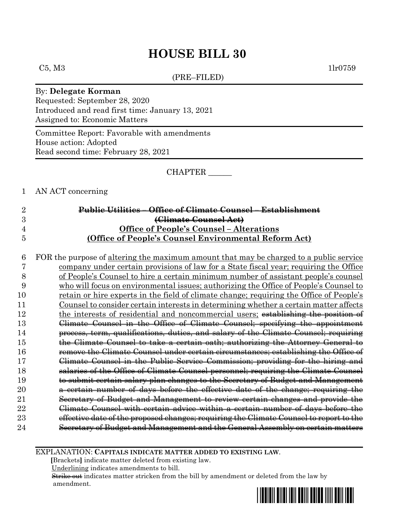(PRE–FILED)

 $C5, M3$  1lr0759

#### By: **Delegate Korman**

Requested: September 28, 2020 Introduced and read first time: January 13, 2021 Assigned to: Economic Matters

Committee Report: Favorable with amendments House action: Adopted Read second time: February 28, 2021

CHAPTER \_\_\_\_\_\_

### 1 AN ACT concerning

| $\overline{2}$ | <u> Public Utilities – Office of Climate Counsel – Establishment</u> |
|----------------|----------------------------------------------------------------------|
| 3              | (Climate Counsel Act)                                                |
| $\overline{4}$ | <b>Office of People's Counsel – Alterations</b>                      |
| $\overline{5}$ | (Office of People's Counsel Environmental Reform Act)                |

 FOR the purpose of altering the maximum amount that may be charged to a public service company under certain provisions of law for a State fiscal year; requiring the Office of People's Counsel to hire a certain minimum number of assistant people's counsel who will focus on environmental issues; authorizing the Office of People's Counsel to retain or hire experts in the field of climate change; requiring the Office of People's Counsel to consider certain interests in determining whether a certain matter affects 12 the interests of residential and noncommercial users; establishing the position of Climate Counsel in the Office of Climate Counsel; specifying the appointment process, term, qualifications, duties, and salary of the Climate Counsel; requiring the Climate Counsel to take a certain oath; authorizing the Attorney General to remove the Climate Counsel under certain circumstances; establishing the Office of Climate Counsel in the Public Service Commission; providing for the hiring and salaries of the Office of Climate Counsel personnel; requiring the Climate Counsel to submit certain salary plan changes to the Secretary of Budget and Management **a certain number of days before the effective date of the change; requiring the**  Secretary of Budget and Management to review certain changes and provide the **Climate Counsel with certain advice within a certain number of days before the**  effective date of the proposed changes; requiring the Climate Counsel to report to the Secretary of Budget and Management and the General Assembly on certain matters

EXPLANATION: **CAPITALS INDICATE MATTER ADDED TO EXISTING LAW**.

 **[**Brackets**]** indicate matter deleted from existing law.

Underlining indicates amendments to bill.

 Strike out indicates matter stricken from the bill by amendment or deleted from the law by amendment.

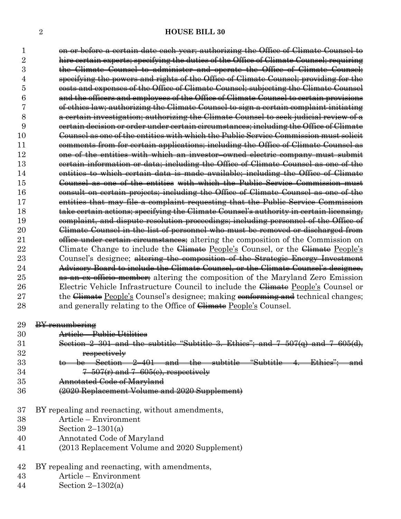on or before a certain date each year; authorizing the Office of Climate Counsel to hire certain experts; specifying the duties of the Office of Climate Counsel; requiring the Climate Counsel to administer and operate the Office of Climate Counsel; specifying the powers and rights of the Office of Climate Counsel; providing for the costs and expenses of the Office of Climate Counsel; subjecting the Climate Counsel and the officers and employees of the Office of Climate Counsel to certain provisions of ethics law; authorizing the Climate Counsel to sign a certain complaint initiating a certain investigation; authorizing the Climate Counsel to seek judicial review of a certain decision or order under certain circumstances; including the Office of Climate Counsel as one of the entities with which the Public Service Commission must solicit comments from for certain applications; including the Office of Climate Counsel as 12 one of the entities with which an investor-owned electric company must submit certain information or data; including the Office of Climate Counsel as one of the entities to which certain data is made available; including the Office of Climate Counsel as one of the entities with which the Public Service Commission must consult on certain projects; including the Office of Climate Counsel as one of the entities that may file a complaint requesting that the Public Service Commission take certain actions; specifying the Climate Counsel's authority in certain licensing, complaint, and dispute resolution proceedings; including personnel of the Office of Climate Counsel in the list of personnel who must be removed or discharged from 21 office under certain circumstances; altering the composition of the Commission on 22 Climate Change to include the <del>Climate</del> People's Counsel, or the <del>Climate</del> People's 23 Counsel's designee; altering the composition of the Strategic Energy Investment Advisory Board to include the Climate Counsel, or the Climate Counsel's designee, 25 as an ex officio member; altering the composition of the Maryland Zero Emission 26 Electric Vehicle Infrastructure Council to include the <del>Climate</del> People's Counsel or 27 the <del>Climate</del> People's Counsel's designee; making conforming and technical changes; 28 and generally relating to the Office of <del>Climate</del> People's Counsel.

#### 29 BY renumbering

Article – Public Utilities

- Section 2–301 and the subtitle "Subtitle 3. Ethics"; and 7–507(q) and 7–605(d), respectively
- to be Section 2–401 and the subtitle "Subtitle 4. Ethics"; and  $7-507(r)$  and  $7-605(e)$ , respectively

Annotated Code of Maryland

- (2020 Replacement Volume and 2020 Supplement)
- BY repealing and reenacting, without amendments,
- Article Environment
- Section 2–1301(a)
- Annotated Code of Maryland
- (2013 Replacement Volume and 2020 Supplement)
- BY repealing and reenacting, with amendments,
- Article Environment

Section 2–1302(a)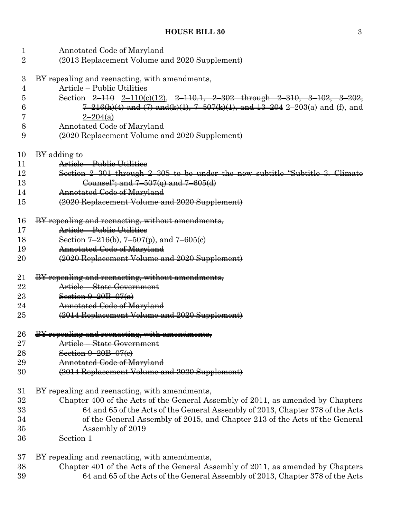- Annotated Code of Maryland
- (2013 Replacement Volume and 2020 Supplement)
- BY repealing and reenacting, with amendments,
- Article Public Utilities
- Section 2–110 2–110(c)(12), 2–110.1, 2–302 through 2–310, 3–102, 3–202, 6 7–216(h)(4) and (7) and(k)(1), 7–507(k)(1), and 13–204 2–203(a) and (f), and
- 7  $2-204(a)$
- Annotated Code of Maryland
- (2020 Replacement Volume and 2020 Supplement)
- BY adding to
- Article Public Utilities
- Section 2–301 through 2–305 to be under the new subtitle "Subtitle 3. Climate 13 **Counsel**"; and  $7-507(a)$  and  $7-605(d)$
- Annotated Code of Maryland
- (2020 Replacement Volume and 2020 Supplement)
- BY repealing and reenacting, without amendments,
- Article Public Utilities
- Section 7–216(b), 7–507(p), and 7–605(c)
- Annotated Code of Maryland
- (2020 Replacement Volume and 2020 Supplement)
- BY repealing and reenacting, without amendments,
- Article State Government
- **Section 9–20B–07(a)**
- Annotated Code of Maryland
- (2014 Replacement Volume and 2020 Supplement)
- 26 BY repealing and reenacting, with amendments,
- Article State Government
- Section 9–20B–07(c)
- Annotated Code of Maryland
- (2014 Replacement Volume and 2020 Supplement)
- BY repealing and reenacting, with amendments,
- Chapter 400 of the Acts of the General Assembly of 2011, as amended by Chapters 64 and 65 of the Acts of the General Assembly of 2013, Chapter 378 of the Acts of the General Assembly of 2015, and Chapter 213 of the Acts of the General Assembly of 2019
- Section 1

BY repealing and reenacting, with amendments,

 Chapter 401 of the Acts of the General Assembly of 2011, as amended by Chapters 64 and 65 of the Acts of the General Assembly of 2013, Chapter 378 of the Acts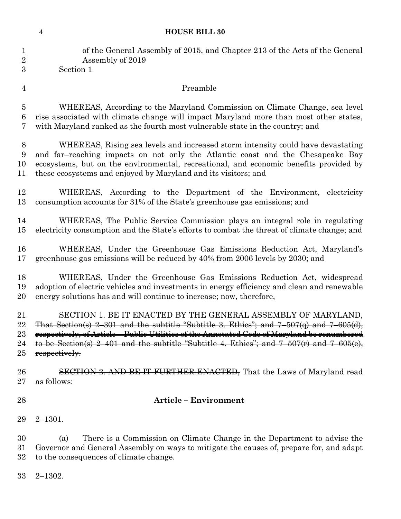| $\mathbf{1}$   | of the General Assembly of 2015, and Chapter 213 of the Acts of the General                                                                                                                                         |
|----------------|---------------------------------------------------------------------------------------------------------------------------------------------------------------------------------------------------------------------|
| $\overline{2}$ | Assembly of 2019                                                                                                                                                                                                    |
| 3              | Section 1                                                                                                                                                                                                           |
| $\overline{4}$ | Preamble                                                                                                                                                                                                            |
| $\overline{5}$ | WHEREAS, According to the Maryland Commission on Climate Change, sea level                                                                                                                                          |
| 6              | rise associated with climate change will impact Maryland more than most other states,                                                                                                                               |
| 7              | with Maryland ranked as the fourth most vulnerable state in the country; and                                                                                                                                        |
| 8              | WHEREAS, Rising sea levels and increased storm intensity could have devastating                                                                                                                                     |
| 9              | and far-reaching impacts on not only the Atlantic coast and the Chesapeake Bay                                                                                                                                      |
| 10             | ecosystems, but on the environmental, recreational, and economic benefits provided by                                                                                                                               |
| 11             | these ecosystems and enjoyed by Maryland and its visitors; and                                                                                                                                                      |
| 12             | WHEREAS, According to the Department of the Environment, electricity                                                                                                                                                |
| 13             | consumption accounts for 31% of the State's greenhouse gas emissions; and                                                                                                                                           |
| 14             | WHEREAS, The Public Service Commission plays an integral role in regulating                                                                                                                                         |
| 15             | electricity consumption and the State's efforts to combat the threat of climate change; and                                                                                                                         |
| 16             | WHEREAS, Under the Greenhouse Gas Emissions Reduction Act, Maryland's                                                                                                                                               |
| 17             | greenhouse gas emissions will be reduced by 40% from 2006 levels by 2030; and                                                                                                                                       |
| 18             | WHEREAS, Under the Greenhouse Gas Emissions Reduction Act, widespread                                                                                                                                               |
| 19             | adoption of electric vehicles and investments in energy efficiency and clean and renewable                                                                                                                          |
| 20             | energy solutions has and will continue to increase; now, therefore,                                                                                                                                                 |
| 21             | SECTION 1. BE IT ENACTED BY THE GENERAL ASSEMBLY OF MARYLAND,                                                                                                                                                       |
| 22             | That Section(s) $2-301$ and the subtitle "Subtitle 3. Ethics"; and $7-507(q)$ and $7-605(d)$ ,                                                                                                                      |
| 23             | respectively, of Article - Public Utilities of the Annotated Code of Maryland be renumbered                                                                                                                         |
| 24             | to be Section(s) $2-401$ and the subtitle "Subtitle 4. Ethics"; and $7-507(r)$ and $7-605(e)$ ,                                                                                                                     |
| 25             | respectively.                                                                                                                                                                                                       |
| 26             | <b>SECTION 2. AND BE IT FURTHER ENACTED, That the Laws of Maryland read</b>                                                                                                                                         |
| 27             | as follows:                                                                                                                                                                                                         |
| 28             | <b>Article - Environment</b>                                                                                                                                                                                        |
| 29             | $2 - 1301.$                                                                                                                                                                                                         |
| 30<br>31<br>32 | There is a Commission on Climate Change in the Department to advise the<br>(a)<br>Governor and General Assembly on ways to mitigate the causes of, prepare for, and adapt<br>to the consequences of climate change. |
| 33             | $2 - 1302.$                                                                                                                                                                                                         |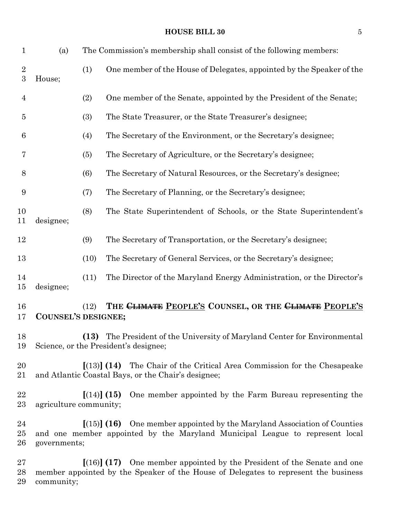| $\mathbf{1}$                       | (a)                    |      | The Commission's membership shall consist of the following members:                                                                                                     |
|------------------------------------|------------------------|------|-------------------------------------------------------------------------------------------------------------------------------------------------------------------------|
| $\overline{2}$<br>$\boldsymbol{3}$ | House;                 | (1)  | One member of the House of Delegates, appointed by the Speaker of the                                                                                                   |
| $\overline{4}$                     |                        | (2)  | One member of the Senate, appointed by the President of the Senate;                                                                                                     |
| $\bf{5}$                           |                        | (3)  | The State Treasurer, or the State Treasurer's designee;                                                                                                                 |
| $6\phantom{.}6$                    |                        | (4)  | The Secretary of the Environment, or the Secretary's designee;                                                                                                          |
| 7                                  |                        | (5)  | The Secretary of Agriculture, or the Secretary's designee;                                                                                                              |
| 8                                  |                        | (6)  | The Secretary of Natural Resources, or the Secretary's designee;                                                                                                        |
| 9                                  |                        | (7)  | The Secretary of Planning, or the Secretary's designee;                                                                                                                 |
| 10<br>11                           | designee;              | (8)  | The State Superintendent of Schools, or the State Superintendent's                                                                                                      |
| 12                                 |                        | (9)  | The Secretary of Transportation, or the Secretary's designee;                                                                                                           |
| 13                                 |                        | (10) | The Secretary of General Services, or the Secretary's designee;                                                                                                         |
| 14<br>$15\,$                       | designee;              | (11) | The Director of the Maryland Energy Administration, or the Director's                                                                                                   |
| 16<br>17                           | COUNSEL'S DESIGNEE;    | (12) | THE CLIMATE PEOPLE'S COUNSEL, OR THE CLIMATE PEOPLE'S                                                                                                                   |
| 18<br>19                           |                        | (13) | The President of the University of Maryland Center for Environmental<br>Science, or the President's designee;                                                           |
| 20<br>21                           |                        |      | $\left[ (13) \right]$ (14) The Chair of the Critical Area Commission for the Chesapeake<br>and Atlantic Coastal Bays, or the Chair's designee;                          |
| 22<br>$23\,$                       | agriculture community; |      | One member appointed by the Farm Bureau representing the<br>[(14)] (15)                                                                                                 |
| 24<br>$25\,$<br>$26\,$             | governments;           |      | $\left[ (15) \right]$ (16) One member appointed by the Maryland Association of Counties<br>and one member appointed by the Maryland Municipal League to represent local |
| $\Omega$                           |                        |      | $f(16)$ $(17)$ One member enpointed by the President of the Senate and and                                                                                              |

 **[**(16)**] (17)** One member appointed by the President of the Senate and one member appointed by the Speaker of the House of Delegates to represent the business community;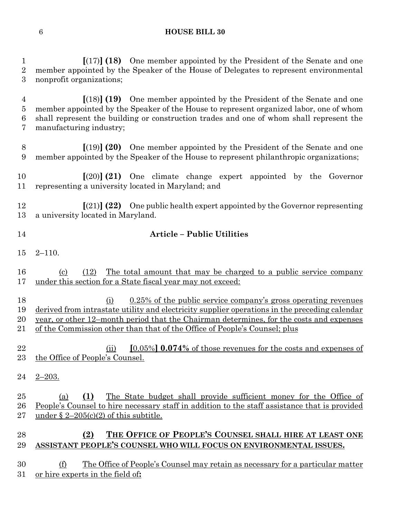**[**(17)**] (18)** One member appointed by the President of the Senate and one member appointed by the Speaker of the House of Delegates to represent environmental nonprofit organizations;

 **[**(18)**] (19)** One member appointed by the President of the Senate and one member appointed by the Speaker of the House to represent organized labor, one of whom shall represent the building or construction trades and one of whom shall represent the manufacturing industry;

 **[**(19)**] (20)** One member appointed by the President of the Senate and one member appointed by the Speaker of the House to represent philanthropic organizations;

 **[**(20)**] (21)** One climate change expert appointed by the Governor representing a university located in Maryland; and

 **[**(21)**] (22)** One public health expert appointed by the Governor representing a university located in Maryland.

# **Article – Public Utilities**

2–110.

16 (c) (12) The total amount that may be charged to a public service company under this section for a State fiscal year may not exceed:

 (i) 0.25% of the public service company's gross operating revenues derived from intrastate utility and electricity supplier operations in the preceding calendar year, or other 12–month period that the Chairman determines, for the costs and expenses of the Commission other than that of the Office of People's Counsel; plus

- (ii) **[**0.05%**] 0.074%** of those revenues for the costs and expenses of the Office of People's Counsel.
- 2–203.

 (a) **(1)** The State budget shall provide sufficient money for the Office of People's Counsel to hire necessary staff in addition to the staff assistance that is provided 27 under  $\S 2-205(c)(2)$  of this subtitle.

# **(2) THE OFFICE OF PEOPLE'S COUNSEL SHALL HIRE AT LEAST ONE ASSISTANT PEOPLE'S COUNSEL WHO WILL FOCUS ON ENVIRONMENTAL ISSUES.**

 (f) The Office of People's Counsel may retain as necessary for a particular matter or hire experts in the field of**:**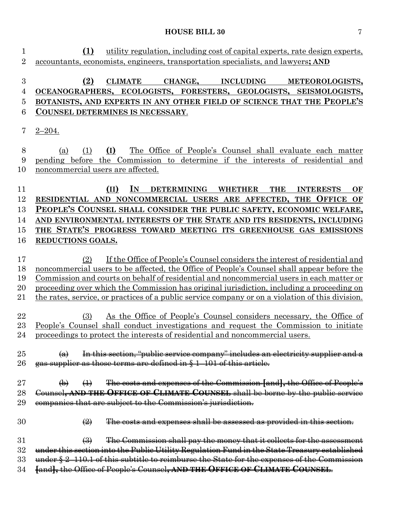**(1)** utility regulation, including cost of capital experts, rate design experts, accountants, economists, engineers, transportation specialists, and lawyers**; AND**

# **(2) CLIMATE CHANGE, INCLUDING METEOROLOGISTS, OCEANOGRAPHERS, ECOLOGISTS, FORESTERS, GEOLOGISTS, SEISMOLOGISTS, BOTANISTS, AND EXPERTS IN ANY OTHER FIELD OF SCIENCE THAT THE PEOPLE'S COUNSEL DETERMINES IS NECESSARY**.

### 2–204.

 (a) (1) **(I)** The Office of People's Counsel shall evaluate each matter pending before the Commission to determine if the interests of residential and noncommercial users are affected.

 **(II) IN DETERMINING WHETHER THE INTERESTS OF RESIDENTIAL AND NONCOMMERCIAL USERS ARE AFFECTED, THE OFFICE OF PEOPLE'S COUNSEL SHALL CONSIDER THE PUBLIC SAFETY, ECONOMIC WELFARE, AND ENVIRONMENTAL INTERESTS OF THE STATE AND ITS RESIDENTS, INCLUDING THE STATE'S PROGRESS TOWARD MEETING ITS GREENHOUSE GAS EMISSIONS REDUCTIONS GOALS.**

- (2) If the Office of People's Counsel considers the interest of residential and noncommercial users to be affected, the Office of People's Counsel shall appear before the Commission and courts on behalf of residential and noncommercial users in each matter or proceeding over which the Commission has original jurisdiction, including a proceeding on the rates, service, or practices of a public service company or on a violation of this division.
- (3) As the Office of People's Counsel considers necessary, the Office of People's Counsel shall conduct investigations and request the Commission to initiate proceedings to protect the interests of residential and noncommercial users.
- $\qquad$   $\qquad$  In this section, "public service company" includes an electricity supplier and a 26 gas supplier as those terms are defined in § 1–101 of this article.
- (b) (1) The costs and expenses of the Commission **[**and**],** the Office of People's Counsel**, AND THE OFFICE OF CLIMATE COUNSEL** shall be borne by the public service 29 companies that are subject to the Commission's jurisdiction.
	-

 $\frac{1}{2}$  The costs and expenses shall be assessed as provided in this section.

- $\qquad \qquad \textcircled{3)}$  The Commission shall pay the money that it collects for the assessment under this section into the Public Utility Regulation Fund in the State Treasury established 33 under § 2–110.1 of this subtitle to reimburse the State for the expenses of the Commission
- **[**and**],** the Office of People's Counsel**, AND THE OFFICE OF CLIMATE COUNSEL**.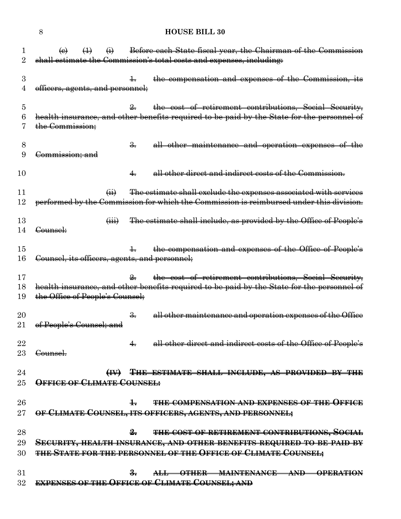**HOUSE BILL 30**  $\left(\theta\right)$   $\left(\frac{1}{1}\right)$   $\left(\frac{1}{1}\right)$  Before each State fiscal year, the Chairman of the Commission 2 shall estimate the Commission's total costs and expenses, including: 3 1. the compensation and expenses of the Commission, its 4 officers, agents, and personnel: 2. the cost of retirement contributions, Social Security, health insurance, and other benefits required to be paid by the State for the personnel of the Commission; 3. all other maintenance and operation expenses of the Commission; and 4. all other direct and indirect costs of the Commission. 11 (ii) The estimate shall exclude the expenses associated with services performed by the Commission for which the Commission is reimbursed under this division. **(iii)** The estimate shall include, as provided by the Office of People's Counsel: 15 1. the compensation and expenses of the Office of People's Counsel, its officers, agents, and personnel; 2. the cost of retirement contributions, Social Security, health insurance, and other benefits required to be paid by the State for the personnel of the Office of People's Counsel; 3. all other maintenance and operation expenses of the Office 21 of People's Counsel; and **4.** all other direct and indirect costs of the Office of People's 23 <del>Counsel.</del> **(IV) THE ESTIMATE SHALL INCLUDE, AS PROVIDED BY THE OFFICE OF CLIMATE COUNSEL: 1. THE COMPENSATION AND EXPENSES OF THE OFFICE OF CLIMATE COUNSEL, ITS OFFICERS, AGENTS, AND PERSONNEL; 2. THE COST OF RETIREMENT CONTRIBUTIONS, SOCIAL SECURITY, HEALTH INSURANCE, AND OTHER BENEFITS REQUIRED TO BE PAID BY THE STATE FOR THE PERSONNEL OF THE OFFICE OF CLIMATE COUNSEL; 3. ALL OTHER MAINTENANCE AND OPERATION EXPENSES OF THE OFFICE OF CLIMATE COUNSEL; AND**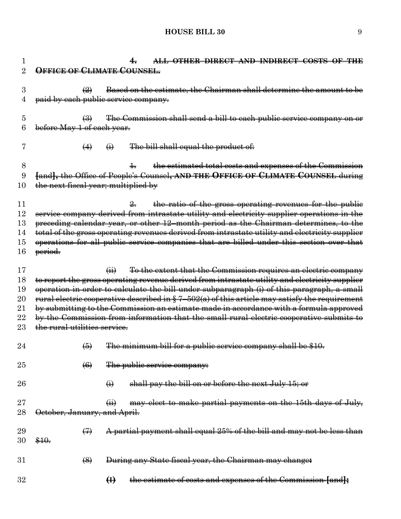| $\mathbf{I}$ | ALL OTHER DIRECT AND INDIRECT COSTS OF THE                                                        |
|--------------|---------------------------------------------------------------------------------------------------|
| 2            | OFFICE OF CLIMATE COUNSEL.                                                                        |
|              |                                                                                                   |
| 3            | Based on the estimate, the Chairman shall determine the amount to be<br>$\bigoplus$               |
| 4            | paid by each public service company.                                                              |
|              |                                                                                                   |
| 5            | The Commission shall send a bill to each public service company on or<br>$\bigoplus$              |
| 6            | before May 1 of each year.                                                                        |
|              |                                                                                                   |
| 7            | The bill shall equal the product of:<br>$\leftrightarrow$<br>$\ddot{\Theta}$                      |
|              |                                                                                                   |
| 8            | the estimated total costs and expenses of the Commission<br>$\pm$                                 |
|              |                                                                                                   |
| 9            | [and], the Office of People's Counsel, AND THE OFFICE OF CLIMATE COUNSEL during                   |
| 10           | the next fiscal year; multiplied by                                                               |
|              |                                                                                                   |
| 11           | the ratio of the gross operating revenues for the public<br>$\frac{9}{2}$                         |
| 12           | service company derived from intrastate utility and electricity supplier operations in the        |
| 13           | preceding calendar year, or other 12-month period as the Chairman determines, to the              |
| 14           | total of the gross operating revenues derived from intrastate utility and electricity supplier    |
| 15           | operations for all public service companies that are billed under this section over that          |
| 16           | period.                                                                                           |
|              |                                                                                                   |
| 17           | To the extent that the Commission requires an electric company<br>$\overline{(+)}$                |
| 18           | to report the gross operating revenue derived from intrastate utility and electricity supplier    |
| 19           | operation in order to calculate the bill under subparagraph (i) of this paragraph, a small        |
| 20           | rural electric cooperative described in $\S$ 7-502(a) of this article may satisfy the requirement |
| 21           | by submitting to the Commission an estimate made in accordance with a formula approved            |
| 22           | by the Commission from information that the small rural electric cooperative submits to           |
| 23           | the rural utilities service.                                                                      |
|              |                                                                                                   |
| 24           | The minimum bill for a public service company shall be \$10.<br>$\left( 5 \right)$                |
|              |                                                                                                   |
| 25           | $\left( 6 \right)$<br>The public service company:                                                 |
|              |                                                                                                   |
| 26           | shall pay the bill on or before the next July 15; or<br>$\ddot{\Theta}$                           |
|              |                                                                                                   |
| 27           | may elect to make partial payments on the 15th days of July,<br>$\overline{a}$                    |
| 28           |                                                                                                   |
|              | October, January, and April.                                                                      |
|              |                                                                                                   |
| 29           | A partial payment shall equal 25% of the bill and may not be less than<br>$\leftrightarrow$       |
| 30           | \$10.                                                                                             |
|              |                                                                                                   |
| 31           | $\left(\frac{8}{2}\right)$<br>During any State fiscal year, the Chairman may change:              |
|              |                                                                                                   |
| 32           | $\bigoplus$<br>the estimate of costs and expenses of the Commission [and];                        |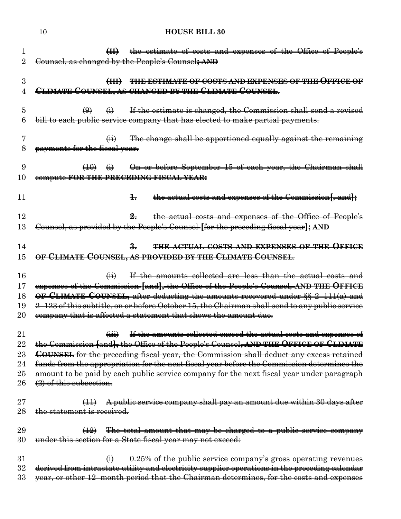|                                              | <b>HOUSE BILL 30</b><br>10                                                                                                                                                                                                                                                                                                                                                                                                                                                                                |
|----------------------------------------------|-----------------------------------------------------------------------------------------------------------------------------------------------------------------------------------------------------------------------------------------------------------------------------------------------------------------------------------------------------------------------------------------------------------------------------------------------------------------------------------------------------------|
| $\perp$                                      | (II) the estimate of costs and expenses of the Office of People's<br>Counsel, as changed by the People's Counsel; AND                                                                                                                                                                                                                                                                                                                                                                                     |
| 3<br>4                                       | (III) THE ESTIMATE OF COSTS AND EXPENSES OF THE OFFICE OF<br>CLIMATE COUNSEL, AS CHANGED BY THE CLIMATE COUNSEL.                                                                                                                                                                                                                                                                                                                                                                                          |
| 5<br>6                                       | If the estimate is changed, the Commission shall send a revised<br>$\leftrightarrow$<br>$\left(\Theta\right)$<br>bill to each public service company that has elected to make partial payments.                                                                                                                                                                                                                                                                                                           |
| 7<br>8                                       | The change shall be apportioned equally against the remaining<br>$\overleftrightarrow{H}$<br>payments for the fiscal vear.                                                                                                                                                                                                                                                                                                                                                                                |
| 9<br>10                                      | (10) (i) On or before September 15 of each year, the Chairman shall<br>compute FOR THE PRECEDING FISCAL YEAR:                                                                                                                                                                                                                                                                                                                                                                                             |
| 11                                           | the actual costs and expenses of the Commission f, and it<br>$\pm$                                                                                                                                                                                                                                                                                                                                                                                                                                        |
| 12<br>13                                     | the actual costs and expenses of the Office of People's<br>$\frac{9}{2}$<br>Counsel, as provided by the People's Counsel ffor the preceding fiscal year]; AND                                                                                                                                                                                                                                                                                                                                             |
| 14<br>15                                     | <b>THE ACTUAL COSTS AND EXPENSES OF THE OFFICE</b><br>$\frac{2}{\sqrt{2}}$<br>OF CLIMATE COUNSEL, AS PROVIDED BY THE CLIMATE COUNSEL.                                                                                                                                                                                                                                                                                                                                                                     |
| 16<br>17<br>18<br>19<br>20                   | If the amounts collected are less than the actual costs and<br>$\overline{a}$<br>expenses of the Commission [and], the Office of the People's Counsel, AND THE OFFICE<br>OF CLIMATE COUNSEL, after deducting the amounts recovered under $\S\frac{2}{3}$ 2-111(a) and<br>2-123 of this subtitle, on or before October 15, the Chairman shall send to any public service<br>company that is affected a statement that shows the amount due.                                                                |
| 21<br>22<br>$23\,$<br>24<br>$25\,$<br>$26\,$ | If the amounts collected exceed the actual costs and expenses of<br>$\left(\frac{1}{111}\right)$<br>the Commission [and], the Office of the People's Counsel, AND THE OFFICE OF CLIMATE<br>COUNSEL for the preceding fiscal year, the Commission shall deduct any excess retained<br>funds from the appropriation for the next fiscal year before the Commission determines the<br>amount to be paid by each public service company for the next fiscal year under paragraph<br>$(2)$ of this subsection. |
| $27\,$<br>$^{28}$                            | (11) A public service company shall pay an amount due within 30 days after<br>the statement is received.                                                                                                                                                                                                                                                                                                                                                                                                  |
| 29<br>30                                     | The total amount that may be charged to a public service company<br>(12)<br>under this section for a State fiscal year may not exceed:                                                                                                                                                                                                                                                                                                                                                                    |
| 31<br>32<br>33                               | 0.25% of the public service company's gross operating revenues<br>$\leftrightarrow$<br>derived from intrastate utility and electricity supplier operations in the preceding calendar<br>year, or other 12-month period that the Chairman determines, for the costs and expenses                                                                                                                                                                                                                           |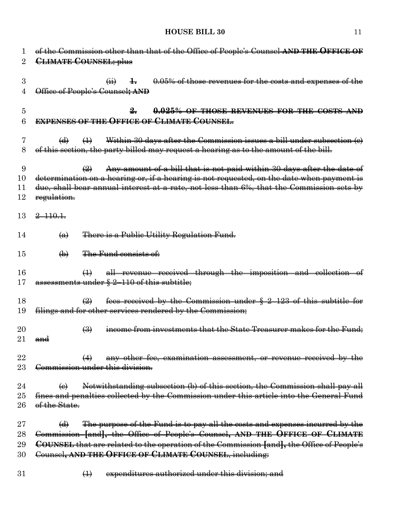| 1               | of the Commission other than that of the Office of People's Counsel AND THE OFFICE OF                     |  |
|-----------------|-----------------------------------------------------------------------------------------------------------|--|
| 2               | <b>CLIMATE COUNSEL</b> ; plus                                                                             |  |
|                 |                                                                                                           |  |
| 3               | $\pm 0.05\%$ of those revenues for the costs and expenses of the<br>$\overrightarrow{41}$                 |  |
| 4               | Office of People's Counsel: AND                                                                           |  |
|                 |                                                                                                           |  |
| 5               | 0.025% OF THOSE REVENUES FOR THE COSTS AND<br>$\frac{9}{2}$                                               |  |
| 6               | <b>EXPENSES OF THE OFFICE OF CLIMATE COUNSEL.</b>                                                         |  |
|                 |                                                                                                           |  |
|                 | (d) $(1)$ Within 30 days after the Commission issues a bill under subsection $(e)$                        |  |
| 8               | of this section, the party billed may request a hearing as to the amount of the bill.                     |  |
|                 |                                                                                                           |  |
| 9               | Any amount of a bill that is not paid within 30 days after the date of<br>$\bigoplus$                     |  |
| 10              | determination on a hearing or, if a hearing is not requested, on the date when payment is                 |  |
| 11              | due, shall bear annual interest at a rate, not less than 6%, that the Commission sets by                  |  |
| 12              | regulation.                                                                                               |  |
|                 |                                                                                                           |  |
| 13              | $2 - 110.1$                                                                                               |  |
|                 |                                                                                                           |  |
| 14              | There is a Public Utility Regulation Fund.<br>$\left( a\right)$                                           |  |
| 15              | The Fund consists of:<br>$\bigoplus$                                                                      |  |
|                 |                                                                                                           |  |
| 16              | all revenue received through the imposition and collection<br>$\leftrightarrow$                           |  |
| 17              | assessments under § 2-110 of this subtitle;                                                               |  |
|                 |                                                                                                           |  |
| 18              | fees received by the Commission under $\S$ 2-123 of this subtitle for<br>$\bigoplus$                      |  |
| 19              | filings and for other services rendered by the Commission;                                                |  |
|                 |                                                                                                           |  |
| $\overline{20}$ | income from investments that the State Treasurer makes for the Fund;<br>$\leftrightarrow$                 |  |
| $21\,$          | <del>and</del>                                                                                            |  |
|                 |                                                                                                           |  |
| 22              | any other fee, examination assessment, or revenue received by the<br>$\leftrightarrow$                    |  |
| 23              | Commission under this division.                                                                           |  |
|                 |                                                                                                           |  |
| 24              | Notwithstanding subsection (b) of this section, the Commission shall pay all<br>$\left(\mathbf{e}\right)$ |  |
| $25\,$          | fines and penalties collected by the Commission under this article into the General Fund                  |  |
| 26              | of the State.                                                                                             |  |
|                 |                                                                                                           |  |
| $27\,$          | The purpose of the Fund is to pay all the costs and expenses incurred by the<br>$\Theta$                  |  |
| $\rm 28$        | Commission [and], the Office of People's Counsel, AND THE OFFICE OF CLIMATE                               |  |
| 29              | COUNSEL that are related to the operation of the Commission [and], the Office of People's                 |  |
| 30              | Counsel, AND THE OFFICE OF CLIMATE COUNSEL, including:                                                    |  |
|                 |                                                                                                           |  |
| 31              | expenditures authorized under this division; and<br>$\oplus$                                              |  |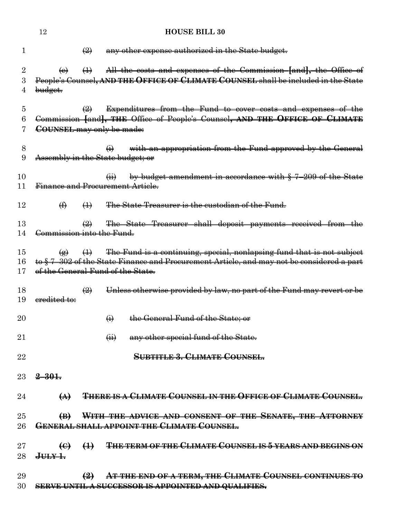|                 | 12                                |                            |                           | <b>HOUSE BILL 30</b>                                                                     |
|-----------------|-----------------------------------|----------------------------|---------------------------|------------------------------------------------------------------------------------------|
| 1               |                                   | $\left(\frac{1}{2}\right)$ |                           | any other expense authorized in the State budget.                                        |
| 2               | (e)                               | $\leftrightarrow$          |                           | All the costs and expenses of the Commission [and], the Office of                        |
| 3               |                                   |                            |                           | People's Counsel, AND THE OFFICE OF CLIMATE COUNSEL shall be included in the State       |
| 4               | budget.                           |                            |                           |                                                                                          |
|                 |                                   |                            |                           |                                                                                          |
| 5               |                                   | $\left( 2\right)$          |                           | Expenditures from the Fund to cover costs and expenses of the                            |
| 6               |                                   |                            |                           | Commission [and], THE Office of People's Counsel, AND THE OFFICE OF CLIMATE              |
| 7               | COUNSEL may only be made:         |                            |                           |                                                                                          |
|                 |                                   |                            |                           |                                                                                          |
| 8               |                                   |                            | $\bigoplus$               | with an appropriation from the Fund approved by the General                              |
| 9               | Assembly in the State budget; or  |                            |                           |                                                                                          |
|                 |                                   |                            |                           |                                                                                          |
| 10              |                                   |                            | $\overrightarrow{41}$     | by budget amendment in accordance with § 7-209 of the State                              |
| 11              | Finance and Procurement Article.  |                            |                           |                                                                                          |
|                 |                                   |                            |                           |                                                                                          |
| 12              | $\bigoplus$                       | $\leftrightarrow$          |                           | The State Treasurer is the custodian of the Fund.                                        |
|                 |                                   |                            |                           |                                                                                          |
| 13              |                                   | $\left(\frac{2}{2}\right)$ |                           | The State Treasurer shall deposit payments received from the                             |
| 14              | Commission into the Fund.         |                            |                           |                                                                                          |
|                 |                                   |                            |                           |                                                                                          |
| 15<br>16        | $\left( \bigoplus \right)$        | $\leftrightarrow$          |                           | The Fund is a continuing, special, nonlapsing fund that is not subject                   |
| 17              | of the General Fund of the State. |                            |                           | to §7-302 of the State Finance and Procurement Article, and may not be considered a part |
|                 |                                   |                            |                           |                                                                                          |
| 18              |                                   | $\bigcirc$                 |                           | Unless otherwise provided by law, no part of the Fund may revert or be                   |
| 19              | eredited to:                      |                            |                           |                                                                                          |
|                 |                                   |                            |                           |                                                                                          |
| 20              |                                   |                            | $\bigoplus$               | the General Fund of the State; or                                                        |
|                 |                                   |                            |                           |                                                                                          |
| $\overline{21}$ |                                   |                            | $\overline{(\mathbf{H})}$ | any other special fund of the State.                                                     |
|                 |                                   |                            |                           |                                                                                          |
| 22              |                                   |                            |                           | <b>SUBTITLE 3. CLIMATE COUNSEL.</b>                                                      |
|                 |                                   |                            |                           |                                                                                          |
| $23\,$          | $2 - 301.$                        |                            |                           |                                                                                          |
|                 |                                   |                            |                           |                                                                                          |
| 24              | $\leftrightarrow$                 |                            |                           | THERE IS A CLIMATE COUNSEL IN THE OFFICE OF CLIMATE COUNSEL.                             |
|                 |                                   |                            |                           |                                                                                          |
| 25              | $\bigoplus$                       |                            |                           | WITH THE ADVICE AND CONSENT OF THE SENATE, THE ATTORNEY                                  |
| 26              |                                   |                            |                           | <b>GENERAL SHALL APPOINT THE CLIMATE COUNSEL.</b>                                        |
|                 |                                   |                            |                           |                                                                                          |
| $27\,$          |                                   |                            |                           | (C) (1) THE TERM OF THE CLIMATE COUNSEL IS 5 YEARS AND BEGINS ON                         |
| 28              | JUIX1                             |                            |                           |                                                                                          |
|                 |                                   |                            |                           |                                                                                          |
| 29              |                                   | $\left( 2\right)$          |                           | AT THE END OF A TERM, THE CLIMATE COUNSEL CONTINUES TO                                   |
| 30              |                                   |                            |                           | SERVE UNTIL A SUCCESSOR IS APPOINTED AND QUALIFIES.                                      |
|                 |                                   |                            |                           |                                                                                          |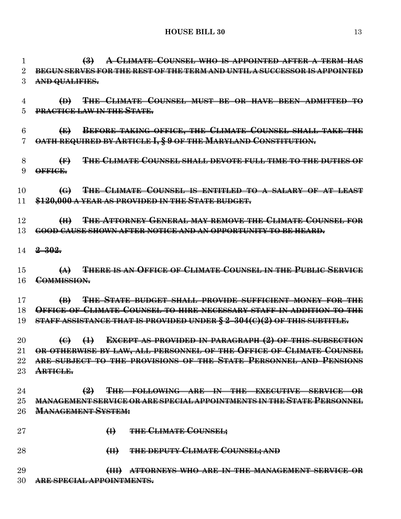**(3) A CLIMATE COUNSEL WHO IS APPOINTED AFTER A TERM HAS BEGUN SERVES FOR THE REST OF THE TERM AND UNTIL A SUCCESSOR IS APPOINTED AND QUALIFIES. (D) THE CLIMATE COUNSEL MUST BE OR HAVE BEEN ADMITTED TO PRACTICE LAW IN THE STATE. (E) BEFORE TAKING OFFICE, THE CLIMATE COUNSEL SHALL TAKE THE OATH REQUIRED BY ARTICLE I, § 9 OF THE MARYLAND CONSTITUTION. (F) THE CLIMATE COUNSEL SHALL DEVOTE FULL TIME TO THE DUTIES OF OFFICE. (G) THE CLIMATE COUNSEL IS ENTITLED TO A SALARY OF AT LEAST \$120,000 A YEAR AS PROVIDED IN THE STATE BUDGET. (H) THE ATTORNEY GENERAL MAY REMOVE THE CLIMATE COUNSEL FOR GOOD CAUSE SHOWN AFTER NOTICE AND AN OPPORTUNITY TO BE HEARD. 2–302. (A) THERE IS AN OFFICE OF CLIMATE COUNSEL IN THE PUBLIC SERVICE COMMISSION. (B) THE STATE BUDGET SHALL PROVIDE SUFFICIENT MONEY FOR THE OFFICE OF CLIMATE COUNSEL TO HIRE NECESSARY STAFF IN ADDITION TO THE STAFF ASSISTANCE THAT IS PROVIDED UNDER § 2–304(C)(2) OF THIS SUBTITLE. (C) (1) EXCEPT AS PROVIDED IN PARAGRAPH (2) OF THIS SUBSECTION OR OTHERWISE BY LAW, ALL PERSONNEL OF THE OFFICE OF CLIMATE COUNSEL ARE SUBJECT TO THE PROVISIONS OF THE STATE PERSONNEL AND PENSIONS ARTICLE. (2) THE FOLLOWING ARE IN THE EXECUTIVE SERVICE OR MANAGEMENT SERVICE OR ARE SPECIAL APPOINTMENTS IN THE STATE PERSONNEL MANAGEMENT SYSTEM: (I) THE CLIMATE COUNSEL; (II) THE DEPUTY CLIMATE COUNSEL; AND**

**(III) ATTORNEYS WHO ARE IN THE MANAGEMENT SERVICE OR**

**ARE SPECIAL APPOINTMENTS.**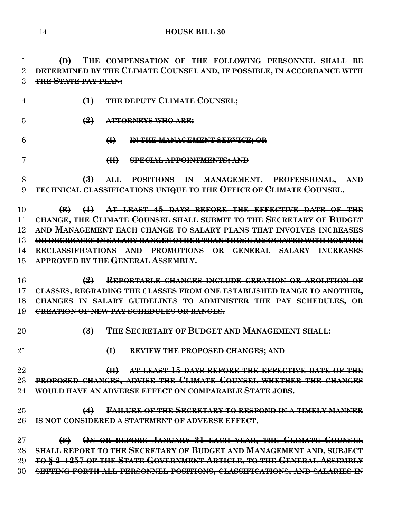**(D) THE COMPENSATION OF THE FOLLOWING PERSONNEL SHALL BE DETERMINED BY THE CLIMATE COUNSEL AND, IF POSSIBLE, IN ACCORDANCE WITH THE STATE PAY PLAN:**

- **(1) THE DEPUTY CLIMATE COUNSEL; (2) ATTORNEYS WHO ARE: (I) IN THE MANAGEMENT SERVICE; OR (II) SPECIAL APPOINTMENTS; AND (3) ALL POSITIONS IN MANAGEMENT, PROFESSIONAL, AND TECHNICAL CLASSIFICATIONS UNIQUE TO THE OFFICE OF CLIMATE COUNSEL. (E) (1) AT LEAST 45 DAYS BEFORE THE EFFECTIVE DATE OF THE CHANGE, THE CLIMATE COUNSEL SHALL SUBMIT TO THE SECRETARY OF BUDGET AND MANAGEMENT EACH CHANGE TO SALARY PLANS THAT INVOLVES INCREASES OR DECREASES IN SALARY RANGES OTHER THAN THOSE ASSOCIATED WITH ROUTINE RECLASSIFICATIONS AND PROMOTIONS OR GENERAL SALARY INCREASES**
- **APPROVED BY THE GENERAL ASSEMBLY.**
- **(2) REPORTABLE CHANGES INCLUDE CREATION OR ABOLITION OF CLASSES, REGRADING THE CLASSES FROM ONE ESTABLISHED RANGE TO ANOTHER, CHANGES IN SALARY GUIDELINES TO ADMINISTER THE PAY SCHEDULES, OR CREATION OF NEW PAY SCHEDULES OR RANGES.**
- 
- **(3) THE SECRETARY OF BUDGET AND MANAGEMENT SHALL:**
- 
- **(I) REVIEW THE PROPOSED CHANGES; AND**
- **(II) AT LEAST 15 DAYS BEFORE THE EFFECTIVE DATE OF THE PROPOSED CHANGES, ADVISE THE CLIMATE COUNSEL WHETHER THE CHANGES WOULD HAVE AN ADVERSE EFFECT ON COMPARABLE STATE JOBS.**
- **(4) FAILURE OF THE SECRETARY TO RESPOND IN A TIMELY MANNER IS NOT CONSIDERED A STATEMENT OF ADVERSE EFFECT.**

 **(F) ON OR BEFORE JANUARY 31 EACH YEAR, THE CLIMATE COUNSEL SHALL REPORT TO THE SECRETARY OF BUDGET AND MANAGEMENT AND, SUBJECT TO § 2–1257 OF THE STATE GOVERNMENT ARTICLE, TO THE GENERAL ASSEMBLY SETTING FORTH ALL PERSONNEL POSITIONS, CLASSIFICATIONS, AND SALARIES IN**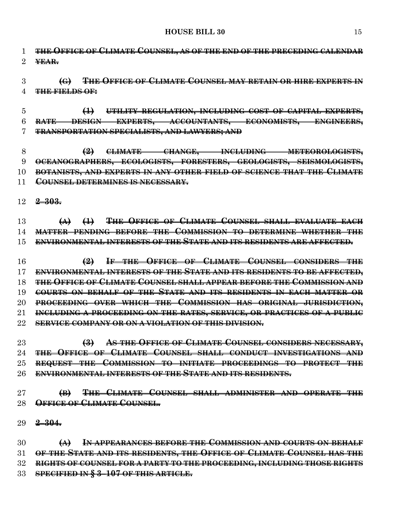| $\mathbf{1}$   | THE OFFICE OF CLIMATE COUNSEL, AS OF THE END OF THE PRECEDING CALENDAR                 |
|----------------|----------------------------------------------------------------------------------------|
| $\overline{2}$ | ¥ <del>EAR.</del>                                                                      |
|                |                                                                                        |
| 3              | THE OFFICE OF CLIMATE COUNSEL MAY RETAIN OR HIRE EXPERTS IN<br>$\left( \Theta \right)$ |
| 4              | THE FIELDS OF:                                                                         |
|                |                                                                                        |
| 5              | UTILITY REGULATION, INCLUDING COST OF CAPITAL EXPERTS,<br>$\leftrightarrow$            |
| 6              | RATE DESIGN EXPERTS, ACCOUNTANTS, ECONOMISTS, ENGINEERS,                               |
| 7              | <b>TRANSPORTATION SPECIALISTS, AND LAWYERS; AND</b>                                    |
| 8              | CLIMATE CHANGE, INCLUDING METEOROLOGISTS,<br>$\left(\frac{9}{2}\right)$                |
| 9              | OCEANOGRAPHERS, ECOLOGISTS, FORESTERS, GEOLOGISTS, SEISMOLOGISTS,                      |
| 10             | BOTANISTS, AND EXPERTS IN ANY OTHER FIELD OF SCIENCE THAT THE CLIMATE                  |
| 11             | COUNSEL DETERMINES IS NECESSARY.                                                       |
|                |                                                                                        |
|                | $12 \frac{2 - 303}{2 - 303}$                                                           |
|                |                                                                                        |
| 13             | (A) (1) THE OFFICE OF CLIMATE COUNSEL SHALL EVALUATE EACH                              |
| 14             | MATTER PENDING BEFORE THE COMMISSION TO DETERMINE WHETHER THE                          |
| 15             | ENVIRONMENTAL INTERESTS OF THE STATE AND ITS RESIDENTS ARE AFFECTED.                   |
|                |                                                                                        |
| 16             | (2) IF THE OFFICE OF CLIMATE COUNSEL CONSIDERS THE                                     |
| 17             | ENVIRONMENTAL INTERESTS OF THE STATE AND ITS RESIDENTS TO BE AFFECTED,                 |
| 18             | <u>THE OFFICE OF CLIMATE COUNSEL SHALL APPEAR BEFORE THE COMMISSION AND</u>            |
| 19             | COURTS ON BEHALF OF THE STATE AND ITS RESIDENTS IN EACH MATTER OR                      |
| 20             | PROCEEDING OVER WHICH THE COMMISSION HAS ORIGINAL JURISDICTION,                        |
| 21             | INCLUDING A PROCEEDING ON THE RATES, SERVICE, OR PRACTICES OF A PUBLIC                 |
| 22             | <b>SERVICE COMPANY OR ON A VIOLATION OF THIS DIVISION.</b>                             |
| 23             | (3) AS THE OFFICE OF CLIMATE COUNSEL CONSIDERS NECESSARY,                              |
| 24             | OFFICE OF CLIMATE<br>COUNSEL SHALL CONDUCT INVESTIGATIONS AND                          |
| $25\,$         | REQUEST THE<br>COMMISSION TO INITIATE PROCEEDINGS TO PROTECT THE                       |
| $26\,$         | <b>ENVIRONMENTAL INTERESTS OF THE STATE AND ITS RESIDENTS.</b>                         |
|                |                                                                                        |
| $27\,$         | THE CLIMATE COUNSEL SHALL ADMINISTER AND OPERATE THE<br>$\bigoplus$                    |
| 28             | <b>OFFICE OF CLIMATE COUNSEL.</b>                                                      |
|                |                                                                                        |

**2–304.**

**2–303.**

 **(A) IN APPEARANCES BEFORE THE COMMISSION AND COURTS ON BEHALF OF THE STATE AND ITS RESIDENTS, THE OFFICE OF CLIMATE COUNSEL HAS THE RIGHTS OF COUNSEL FOR A PARTY TO THE PROCEEDING, INCLUDING THOSE RIGHTS SPECIFIED IN § 3–107 OF THIS ARTICLE.**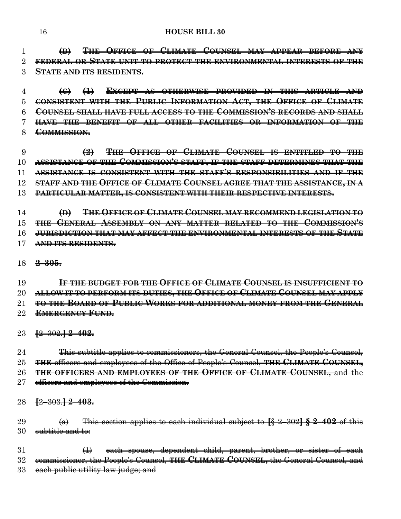**(B) THE OFFICE OF CLIMATE COUNSEL MAY APPEAR BEFORE ANY FEDERAL OR STATE UNIT TO PROTECT THE ENVIRONMENTAL INTERESTS OF THE STATE AND ITS RESIDENTS.**

 **(C) (1) EXCEPT AS OTHERWISE PROVIDED IN THIS ARTICLE AND CONSISTENT WITH THE PUBLIC INFORMATION ACT, THE OFFICE OF CLIMATE COUNSEL SHALL HAVE FULL ACCESS TO THE COMMISSION'S RECORDS AND SHALL HAVE THE BENEFIT OF ALL OTHER FACILITIES OR INFORMATION OF THE COMMISSION.**

 **(2) THE OFFICE OF CLIMATE COUNSEL IS ENTITLED TO THE ASSISTANCE OF THE COMMISSION'S STAFF, IF THE STAFF DETERMINES THAT THE ASSISTANCE IS CONSISTENT WITH THE STAFF'S RESPONSIBILITIES AND IF THE STAFF AND THE OFFICE OF CLIMATE COUNSEL AGREE THAT THE ASSISTANCE, IN A PARTICULAR MATTER, IS CONSISTENT WITH THEIR RESPECTIVE INTERESTS.**

 **(D) THE OFFICE OF CLIMATE COUNSEL MAY RECOMMEND LEGISLATION TO THE GENERAL ASSEMBLY ON ANY MATTER RELATED TO THE COMMISSION'S JURISDICTION THAT MAY AFFECT THE ENVIRONMENTAL INTERESTS OF THE STATE AND ITS RESIDENTS.**

**2–305.**

 **IF THE BUDGET FOR THE OFFICE OF CLIMATE COUNSEL IS INSUFFICIENT TO ALLOW IT TO PERFORM ITS DUTIES, THE OFFICE OF CLIMATE COUNSEL MAY APPLY TO THE BOARD OF PUBLIC WORKS FOR ADDITIONAL MONEY FROM THE GENERAL EMERGENCY FUND.**

**[**2–302.**] 2–402.**

 This subtitle applies to commissioners, the General Counsel, the People's Counsel, **THE** officers and employees of the Office of People's Counsel, **THE CLIMATE COUNSEL, THE OFFICERS AND EMPLOYEES OF THE OFFICE OF CLIMATE COUNSEL,** and the 27 officers and employees of the Commission.

**[**2–303.**] 2–403.**

 (a) This section applies to each individual subject to **[**§ 2–302**] § 2–402** of this 30 subtitle and to:

31 (<del>1)</del> each spouse, dependent child, parent, brother, or sister of each commissioner, the People's Counsel, **THE CLIMATE COUNSEL,** the General Counsel, and 33 each public utility law judge; and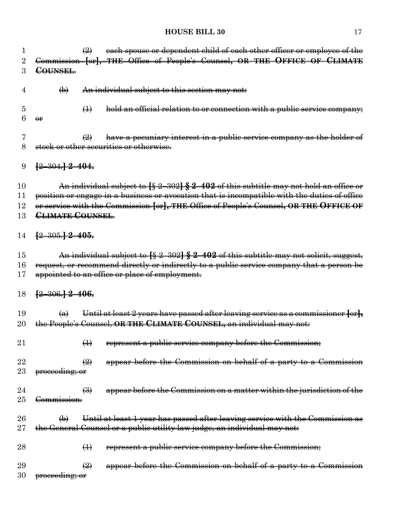| 1        | each spouse or dependent child of each other officer or employee of the<br>$\bigoplus$                        |
|----------|---------------------------------------------------------------------------------------------------------------|
| 2        | Commission [or], THE Office of People's Counsel, OR THE OFFICE OF CLIMATE                                     |
| 3        | COUNSEL.                                                                                                      |
| 4        | An individual subject to this section may not:<br>$\bigoplus$                                                 |
| 5        | hold an official relation to or connection with a public service company;<br>$\leftrightarrow$                |
| 6        | $\Theta$ r                                                                                                    |
| 7        | have a pecuniary interest in a public service company as the holder of<br>$\left(\frac{1}{2}\right)$          |
| 8        | stock or other securities or otherwise.                                                                       |
| 9        | $\left[\frac{2-304.12-404}{5}\right]$                                                                         |
| 10       | An individual subject to $\frac{52-302}{52-402}$ of this subtitle may not hold an office or                   |
| 11       | position or engage in a business or avocation that is incompatible with the duties of office                  |
| 12       | or service with the Commission [or], THE Office of People's Counsel, OR THE OFFICE OF                         |
| 13       | <b>CLIMATE COUNSEL</b>                                                                                        |
| 14       | $\frac{2 - 305.}{2 - 405}$                                                                                    |
| 15       | An individual subject to [§ 2-302] § 2-402 of this subtitle may not solicit, suggest,                         |
| 16       | request, or recommend directly or indirectly to a public service company that a person be                     |
| 17       | appointed to an office or place of employment.                                                                |
| 18       | $\left[\frac{2-306.}{2-406}\right]$                                                                           |
| 19       | Until at least 2 years have passed after leaving service as a commissioner [or],<br>$\left(\mathbf{a}\right)$ |
| $20\,$   | the People's Counsel, OR THE CLIMATE COUNSEL, an individual may not:                                          |
| 21       | represent a public service company before the Commission;<br>$\leftrightarrow$                                |
| 22       | appear before the Commission on behalf of a party to a Commission<br>$\left(\frac{2}{2}\right)$               |
| $\rm 23$ | proceeding; or                                                                                                |
|          |                                                                                                               |
| 24       | appear before the Commission on a matter within the jurisdiction of the<br>$\leftrightarrow$                  |
| $25\,$   | Commission.                                                                                                   |
| $26\,$   | Until at least 1 year has passed after leaving service with the Commission as<br>$\bigoplus$                  |
| $27\,$   | the General Counsel or a public utility law judge, an individual may not:                                     |
| 28       | $\leftrightarrow$<br>represent a public service company before the Commission;                                |
| 29       | appear before the Commission on behalf of a party to a Commission<br>$\circled{2}$                            |
| $30\,$   | proceeding; or                                                                                                |
|          |                                                                                                               |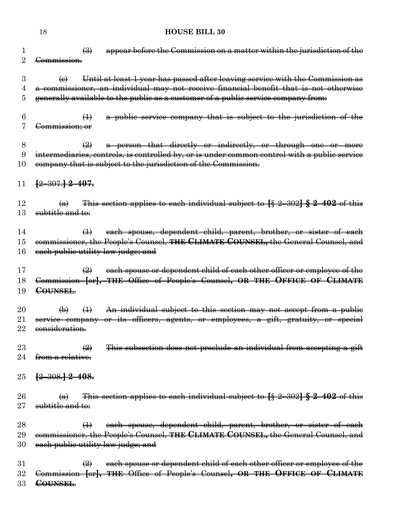|              | 18                                    | <b>HOUSE BILL 30</b>                                                                                                                                                       |
|--------------|---------------------------------------|----------------------------------------------------------------------------------------------------------------------------------------------------------------------------|
| $\perp$      |                                       | appear before the Commission on a matter within the jurisdiction of the<br>$\bigoplus$                                                                                     |
| 2            | Commission.                           |                                                                                                                                                                            |
|              |                                       |                                                                                                                                                                            |
| 3            | $\Theta$                              | Until at least 1 year has passed after leaving service with the Commission as                                                                                              |
| 5            |                                       | a commissioner, an individual may not receive financial benefit that is not otherwise<br>generally available to the public as a customer of a public service company from: |
|              |                                       |                                                                                                                                                                            |
| 6            |                                       | a public service company that is subject to the jurisdiction of the<br>$\bigoplus$                                                                                         |
|              | <del>Commission; or</del>             |                                                                                                                                                                            |
| 8            |                                       | a person that directly or indirectly, or through one or more<br>$\bigoplus$                                                                                                |
| 9            |                                       | intermediaries, controls, is controlled by, or is under common control with a public service                                                                               |
| $10\,$       |                                       | company that is subject to the jurisdiction of the Commission.                                                                                                             |
|              |                                       |                                                                                                                                                                            |
| 11           | $[2 - 307.]\,\,2 - 407.$              |                                                                                                                                                                            |
| 12           | $\left(\mathbf{a}\right)$             | This section applies to each individual subject to $\{§ 2-302\}$ § 2-402 of this                                                                                           |
| 13           | subtitle and to:                      |                                                                                                                                                                            |
|              |                                       |                                                                                                                                                                            |
| 14           |                                       | each spouse, dependent child, parent, brother, or sister of each<br>$\leftrightarrow$                                                                                      |
| 15<br>16     |                                       | commissioner, the People's Counsel, THE CLIMATE COUNSEL, the General Counsel, and<br>each public utility law judge; and                                                    |
|              |                                       |                                                                                                                                                                            |
| 17           |                                       | each spouse or dependent child of each other officer or employee of the<br>$\left(\frac{1}{2}\right)$                                                                      |
| 18           |                                       | Commission [or], THE Office of People's Counsel, OR THE OFFICE OF CLIMATE                                                                                                  |
| 19           | COUNSEL.                              |                                                                                                                                                                            |
| $20\,$       | $\bigoplus$                           | An individual subject to this section may not accept from a public<br>$\bigoplus$                                                                                          |
| 21           | service company                       | or its officers, agents, or employees, a gift, gratuity, or special                                                                                                        |
| $22\,$       | consideration.                        |                                                                                                                                                                            |
| 23           |                                       | This subsection does not preclude an individual from accepting a gift<br>$\left(\frac{2}{2}\right)$                                                                        |
| 24           | from a relative.                      |                                                                                                                                                                            |
|              |                                       |                                                                                                                                                                            |
| $25\,$       | $\left[\frac{2-308.}{2-408}\right]$   |                                                                                                                                                                            |
|              |                                       |                                                                                                                                                                            |
| 26<br>$27\,$ | $\left( a\right)$<br>subtitle and to: | This section applies to each individual subject to $\{\$ 2-302\}$ § 2-402 of this                                                                                          |
|              |                                       |                                                                                                                                                                            |
| 28           |                                       | each spouse, dependent child, parent, brother, or sister of each<br>$\leftrightarrow$                                                                                      |
| 29           |                                       | commissioner, the People's Counsel, THE CLIMATE COUNSEL, the General Counsel, and                                                                                          |
| 30           |                                       | each public utility law judge; and                                                                                                                                         |
| $31\,$       |                                       | each spouse or dependent child of each other officer or employee of the<br>$\left(\frac{1}{2}\right)$                                                                      |
| $32\,$       |                                       | Commission [or], THE Office of People's Counsel, OR THE OFFICE OF CLIMATE                                                                                                  |
| $33\,$       | COUNSEL.                              |                                                                                                                                                                            |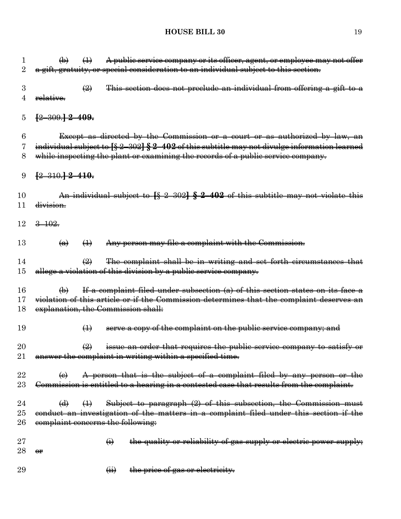|        | $\bigoplus$                      | $\leftrightarrow$ | A public service company or its officer, agent, or employee may not offer                    |
|--------|----------------------------------|-------------------|----------------------------------------------------------------------------------------------|
| 2      |                                  |                   | a gift, gratuity, or special consideration to an individual subject to this section.         |
|        |                                  |                   |                                                                                              |
| 3      |                                  | $\bigoplus$       | This section does not preclude an individual from offering a gift to a                       |
|        | relative.                        |                   |                                                                                              |
|        |                                  |                   |                                                                                              |
| 5      | $[2 - 300.]\,\frac{2 - 409.}{2}$ |                   |                                                                                              |
|        |                                  |                   |                                                                                              |
| 6      |                                  |                   | Except as directed by the Commission or a court or as authorized by law, an                  |
|        |                                  |                   | individual subject to [§ 2-302] § 2-402 of this subtitle may not divulge information learned |
| 8      |                                  |                   | while inspecting the plant or examining the records of a public service company.             |
|        |                                  |                   |                                                                                              |
| 9      | $[2 - 310.] 2 - 410.$            |                   |                                                                                              |
|        |                                  |                   |                                                                                              |
| 10     |                                  |                   | An individual subject to $\{§ 2-302\}$ § 2-402 of this subtitle may not violate this         |
| 11     | division.                        |                   |                                                                                              |
| 12     | $3 - 102.$                       |                   |                                                                                              |
|        |                                  |                   |                                                                                              |
| 13     | $\left( a\right)$                | $\leftrightarrow$ | Any person may file a complaint with the Commission.                                         |
|        |                                  |                   |                                                                                              |
| 14     |                                  | $\bigoplus$       | The complaint shall be in writing and set forth circumstances that                           |
| 15     |                                  |                   | allege a violation of this division by a public service company.                             |
|        |                                  |                   |                                                                                              |
| 16     | $\bigoplus$                      |                   | If a complaint filed under subsection (a) of this section states on its face a               |
| 17     |                                  |                   | violation of this article or if the Commission determines that the complaint deserves an     |
| 18     |                                  |                   | explanation, the Commission shall:                                                           |
|        |                                  |                   |                                                                                              |
| 19     |                                  | $\bigoplus$       | serve a copy of the complaint on the public service company; and                             |
|        |                                  |                   |                                                                                              |
| 20     |                                  | $\bigoplus$       | issue an order that requires the public service company to satisfy or                        |
| $21\,$ |                                  |                   | answer the complaint in writing within a specified time.                                     |
|        |                                  |                   |                                                                                              |
| 22     | $\leftrightarrow$                |                   | A person that is the subject of a complaint filed by any person or the                       |
| $23\,$ |                                  |                   | Commission is entitled to a hearing in a contested case that results from the complaint.     |
|        |                                  |                   |                                                                                              |
| 24     | $\overline{\mathbf{a}}$          | $\leftrightarrow$ | Subject to paragraph (2) of this subsection, the Commission must                             |
| $25\,$ |                                  |                   | conduct an investigation of the matters in a complaint filed under this section if the       |
| 26     |                                  |                   | complaint concerns the following:                                                            |
|        |                                  |                   |                                                                                              |
| $27\,$ |                                  |                   | the quality or reliability of gas supply or electric power supply;<br>$\ddot{\Theta}$        |
| 28     | $\Theta$ r                       |                   |                                                                                              |
| 29     |                                  |                   | $\overrightarrow{H}$<br>the price of gas or electricity.                                     |
|        |                                  |                   |                                                                                              |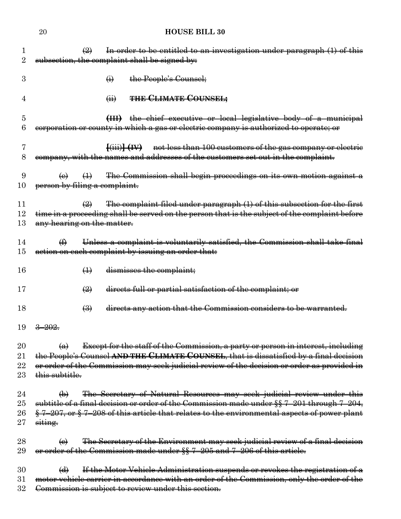|                              | <b>HOUSE BILL 30</b><br>20                                                                                                                                                                                                                                                                                             |
|------------------------------|------------------------------------------------------------------------------------------------------------------------------------------------------------------------------------------------------------------------------------------------------------------------------------------------------------------------|
| $\perp$<br>$\overline{2}$    | $\bigoplus$<br>In order to be entitled to an investigation under paragraph (1) of this<br>subsection, the complaint shall be signed by:                                                                                                                                                                                |
| 3                            | the People's Counsel;<br>$\leftrightarrow$                                                                                                                                                                                                                                                                             |
| 4                            | <b>THE CLIMATE COUNSEL:</b><br>$\overline{(\mathbf{ii})}$                                                                                                                                                                                                                                                              |
| 5<br>6                       | (III) the chief executive or local legislative body of a municipal<br>corporation or county in which a gas or electric company is authorized to operate; or                                                                                                                                                            |
| 7<br>8                       | $\overline{f(iii)}$ (IV) not less than 100 customers of the gas company or electric<br>company, with the names and addresses of the customers set out in the complaint.                                                                                                                                                |
| 9<br>10                      | The Commission shall begin proceedings on its own motion against a<br>$\leftrightarrow$<br>$\Theta$<br>person by filing a complaint.                                                                                                                                                                                   |
| 11<br>12<br>13               | The complaint filed under paragraph (1) of this subsection for the first<br>time in a proceeding shall be served on the person that is the subject of the complaint before<br>any hearing on the matter.                                                                                                               |
| 14<br>15                     | Unless a complaint is voluntarily satisfied, the Commission shall take final<br>$\bigoplus$<br>action on each complaint by issuing an order that:                                                                                                                                                                      |
| 16                           | dismisses the complaint;<br>$\leftrightarrow$                                                                                                                                                                                                                                                                          |
| 17                           | $\left(\frac{1}{2}\right)$<br>directs full or partial satisfaction of the complaint; or                                                                                                                                                                                                                                |
| 18                           | directs any action that the Commission considers to be warranted.<br>$\leftrightarrow$                                                                                                                                                                                                                                 |
| 19                           | $3 - 202.$                                                                                                                                                                                                                                                                                                             |
| $20\,$<br>$21\,$<br>22<br>23 | Except for the staff of the Commission, a party or person in interest, including<br>$\left( \Theta \right)$<br>the People's Counsel AND THE CLIMATE COUNSEL, that is dissatisfied by a final decision<br>or order of the Commission may seek judicial review of the decision or order as provided in<br>this subtitle. |
| 24<br>25                     | The Secretary of Natural Resources may seek judicial review under this<br>$\bigoplus$<br>subtitle of a final decision or order of the Commission made under §§ 7-201 through 7-204,                                                                                                                                    |
| $26\,$<br>$\rm 27$           | $\frac{6}{3}$ 7-207, or $\frac{6}{3}$ 7-208 of this article that relates to the environmental aspects of power plant<br>siting.                                                                                                                                                                                        |
| 28<br>29                     | The Secretary of the Environment may seek judicial review of a final decision<br>$\Theta$<br>or order of the Commission made under §§ 7-205 and 7-206 of this article.                                                                                                                                                 |
| 30<br>$31\,$                 | If the Motor Vehicle Administration suspends or revokes the registration of a<br>$\Theta$<br>motor vehicle carrier in accordance with an order of the Commission, only the order of the                                                                                                                                |
| 32                           | Commission is subject to review under this section.                                                                                                                                                                                                                                                                    |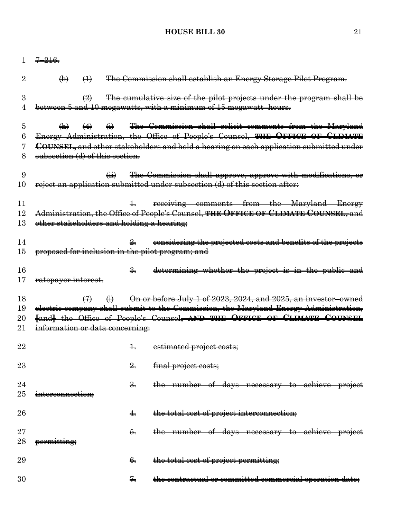| 1        | $7 - 216.$                                |                                  |                      |                                                                                        |
|----------|-------------------------------------------|----------------------------------|----------------------|----------------------------------------------------------------------------------------|
| 2        | $\bigoplus$<br>$\leftrightarrow$          |                                  |                      | The Commission shall establish an Energy Storage Pilot Program.                        |
| 3        |                                           | $\bigoplus$                      |                      | The cumulative size of the pilot projects under the program shall be                   |
| 4        |                                           |                                  |                      | between 5 and 10 megawatts, with a minimum of 15 megawatt-hours.                       |
| 5        | $\left( \mathbf{h} \right)$               | (4)<br>$\leftrightarrow$         |                      | The Commission shall solicit comments from the Maryland                                |
| 6        |                                           |                                  |                      | Energy Administration, the Office of People's Counsel, THE OFFICE OF CLIMATE           |
|          |                                           |                                  |                      | COUNSEL, and other stakeholders and hold a hearing on each application submitted under |
| 8        | subsection (d) of this section.           |                                  |                      |                                                                                        |
| 9        |                                           | $\overline{a}$                   |                      | The Commission shall approve, approve with modifications, or                           |
| 10       |                                           |                                  |                      | reject an application submitted under subsection (d) of this section after:            |
| 11       |                                           |                                  | $\pm$                | receiving comments from the Maryland Energy                                            |
| 12       |                                           |                                  |                      | Administration, the Office of People's Counsel, THE OFFICE OF CLIMATE COUNSEL, and     |
| 13       | other stakeholders and holding a hearing; |                                  |                      |                                                                                        |
| 14       |                                           |                                  | $\frac{9}{2}$        | considering the projected costs and benefits of the projects                           |
| $15\,$   |                                           |                                  |                      | proposed for inclusion in the pilot program; and                                       |
| 16       |                                           |                                  | $\frac{9}{2}$        | determining whether the project is in the public and                                   |
| 17       | <del>ratepayer interest.</del>            |                                  |                      |                                                                                        |
| 18       |                                           | $\bigoplus$<br>$\leftrightarrow$ |                      | On or before July 1 of 2023, 2024, and 2025, an investor-owned                         |
| 19       |                                           |                                  |                      | electric company shall submit to the Commission, the Maryland Energy Administration,   |
| $20\,$   |                                           |                                  |                      | [and] the Office of People's Counsel, AND THE OFFICE OF CLIMATE COUNSEL                |
| $\rm 21$ | information or data concerning:           |                                  |                      |                                                                                        |
| 22       |                                           |                                  | $\ddagger$           | estimated project costs;                                                               |
| 23       |                                           |                                  | $\frac{9}{27}$       | final project costs;                                                                   |
| 24       |                                           |                                  | $\frac{3}{2}$        | the number of days necessary to achieve project                                        |
| $25\,$   | interconnection;                          |                                  |                      |                                                                                        |
| 26       |                                           |                                  | 4.                   | the total cost of project interconnection;                                             |
| $27\,$   |                                           |                                  | Б.                   | the number of days necessary to achieve project                                        |
| 28       | permitting;                               |                                  |                      |                                                                                        |
|          |                                           |                                  |                      |                                                                                        |
| 29       |                                           |                                  | 6.                   | the total cost of project permitting;                                                  |
| 30       |                                           |                                  | $\frac{1}{\sqrt{2}}$ | the contractual or committed commercial operation date;                                |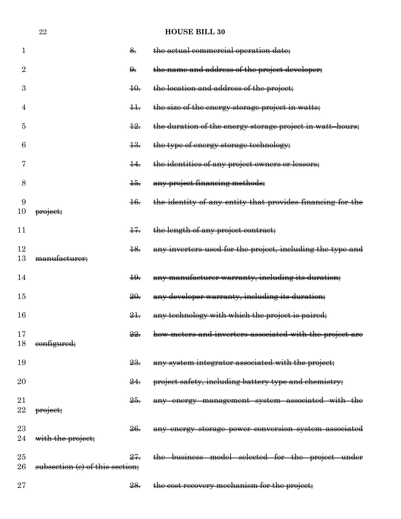|                 | 22                              |                  | <b>HOUSE BILL 30</b>                                       |
|-----------------|---------------------------------|------------------|------------------------------------------------------------|
| $\mathbf{1}$    |                                 | 8.               | the actual commercial operation date;                      |
| $\overline{2}$  |                                 | $\theta$ .       | the name and address of the project developer;             |
| 3               |                                 | $\frac{10}{10}$  | the location and address of the project;                   |
| 4               |                                 | $\pm$            | the size of the energy storage project in watts;           |
| 5               |                                 | $\frac{12}{1}$   | the duration of the energy storage project in watt-hours;  |
| 6               |                                 | $\frac{12}{10}$  | the type of energy storage technology;                     |
| 7               |                                 | $\pm$            | the identities of any project owners or lessors;           |
| 8               |                                 | <del>15.</del>   | any project financing methods;                             |
| 9<br>10         | project;                        | $\pm 6.$         | the identity of any entity that provides financing for the |
| 11              |                                 | $+7$             | the length of any project contract;                        |
| 12<br>13        | manufacturer;                   | $\frac{18}{100}$ | any inverters used for the project, including the type and |
|                 |                                 |                  |                                                            |
| 14              |                                 | $\frac{10}{10}$  | any manufacturer warranty, including its duration;         |
| 15              |                                 | <del>20.</del>   | any developer warranty, including its duration;            |
| 16              |                                 | $\frac{21}{2}$   | any technology with which the project is paired;           |
| 17<br>18        | eonfigured;                     | $\frac{22}{2}$   | how meters and inverters associated with the project are   |
|                 |                                 |                  |                                                            |
| 19              |                                 | 23.              | any system integrator associated with the project;         |
| $\overline{20}$ |                                 | $\frac{24}{7}$   | project safety, including battery type and chemistry;      |
| 21<br>22        |                                 | $\frac{25}{20}$  | any energy management system associated with the           |
|                 | project;                        |                  |                                                            |
| $23\,$<br>24    | with the project;               | 26.              | any energy storage power conversion system associated      |
| 25              |                                 | $\frac{27}{27}$  | the business model selected for the project under          |
| 26              | subsection (c) of this section; |                  |                                                            |
| $27\,$          |                                 | 28.              | the cost recovery mechanism for the project;               |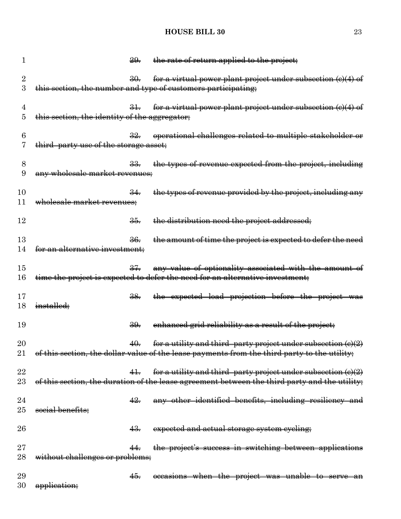| 1                   | 29.                                                             | the rate of return applied to the project;                                                                                                                                         |
|---------------------|-----------------------------------------------------------------|------------------------------------------------------------------------------------------------------------------------------------------------------------------------------------|
| $\overline{2}$<br>3 | $\frac{30}{2}$                                                  | for a virtual power plant project under subsection $(e)(4)$ of<br>this section, the number and type of customers participating;                                                    |
| 4<br>5              | $\frac{31}{2}$<br>this section, the identity of the aggregator; | for a virtual power plant project under subsection $(e)(4)$ of                                                                                                                     |
| 6                   | third-party use of the storage asset;                           | operational challenges related to multiple stakeholder or                                                                                                                          |
| 8<br>9              | any wholesale market revenues;                                  | the types of revenue expected from the project, including                                                                                                                          |
| 10<br>11            | <del>wholesale market revenues;</del>                           | the types of revenue provided by the project, including any                                                                                                                        |
| 12                  | $\frac{35}{100}$                                                | the distribution need the project addressed;                                                                                                                                       |
| 13<br>14            | <del>36.</del><br>an alternative investment;                    | the amount of time the project is expected to defer the need                                                                                                                       |
| 15<br>16            | $\frac{37}{27}$                                                 | any value of optionality associated with the amount of<br>time the project is expected to defer the need for an alternative investment;                                            |
| 17<br>18            | <del>38.</del><br>installed:                                    | the expected load projection before the project was                                                                                                                                |
| 19                  | $\frac{30}{20}$                                                 | enhanced grid reliability as a result of the project;                                                                                                                              |
| 20<br>21            | 40.                                                             | for a utility and third-party project under subsection $(e)(2)$<br>of this section, the dollar value of the lease payments from the third party to the utility;                    |
| 22<br>23            | $\ddagger$                                                      | for a utility and third-party project under subsection $\left(\frac{c}{2}\right)$<br>of this section, the duration of the lease agreement between the third party and the utility; |
| 24<br>25            | <del>42.</del><br>social benefits;                              | any other identified benefits, including resiliency and                                                                                                                            |
| 26                  | 43.                                                             | expected and actual storage system cycling;                                                                                                                                        |
| 27<br>28            | without challenges or problems;                                 | the project's success in switching between applications                                                                                                                            |
| 29<br>30            | 45.<br>application;                                             | occasions when the project was unable to serve<br><del>a</del> n                                                                                                                   |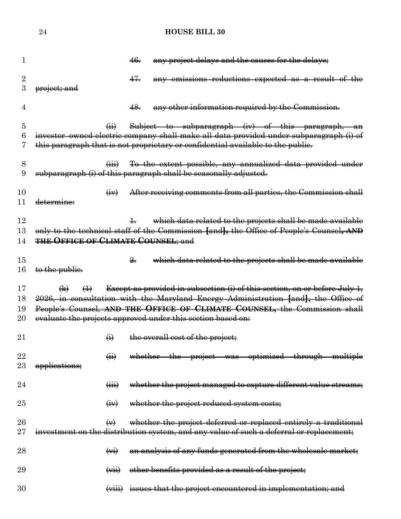|                | 24                                               |                                | <b>HOUSE BILL 30</b>                                                                                                                                             |
|----------------|--------------------------------------------------|--------------------------------|------------------------------------------------------------------------------------------------------------------------------------------------------------------|
|                |                                                  |                                |                                                                                                                                                                  |
| $\mathbf{1}$   |                                                  |                                | any project delays and the causes for the delays;<br>46.                                                                                                         |
| $\overline{2}$ |                                                  |                                | 47.<br>any emissions reductions expected as a result of the                                                                                                      |
| 3              | <del>project; and</del>                          |                                |                                                                                                                                                                  |
|                |                                                  |                                |                                                                                                                                                                  |
| 4              |                                                  |                                | any other information required by the Commission.<br>48.                                                                                                         |
| 5              |                                                  |                                | Subject to subparagraph (iv) of this paragraph, an                                                                                                               |
| 6              |                                                  |                                | investor-owned electric company shall make all data provided under subparagraph (i) of                                                                           |
| 7              |                                                  |                                | this paragraph that is not proprietary or confidential available to the public.                                                                                  |
| 8              |                                                  | $\overleftrightarrow{iii}$     | To the extent possible, any annualized data provided under                                                                                                       |
| 9              |                                                  |                                | subparagraph (i) of this paragraph shall be seasonally adjusted.                                                                                                 |
|                |                                                  |                                |                                                                                                                                                                  |
| 10<br>11       | determine:                                       |                                | After receiving comments from all parties, the Commission shall                                                                                                  |
|                |                                                  |                                |                                                                                                                                                                  |
| 12             |                                                  |                                | which data related to the projects shall be made available                                                                                                       |
| 13             |                                                  |                                | only to the technical staff of the Commission [and], the Office of People's Counsel, AND                                                                         |
| 14             |                                                  |                                | <b>THE OFFICE OF CLIMATE COUNSEL; and</b>                                                                                                                        |
| 15             |                                                  |                                | which data related to the projects shall be made available<br>$\frac{9}{2}$                                                                                      |
| 16             | to the public.                                   |                                |                                                                                                                                                                  |
| 17             |                                                  |                                |                                                                                                                                                                  |
| 18             | $\leftrightarrow$<br>$\left( \mathbf{R} \right)$ |                                | Except as provided in subsection (i) of this section, on or before July 1,<br>2026, in consultation with the Maryland Energy Administration [and], the Office of |
| 19             |                                                  |                                | People's Counsel, AND THE OFFICE OF CLIMATE COUNSEL, the Commission shall                                                                                        |
| 20             |                                                  |                                | evaluate the projects approved under this section based on:                                                                                                      |
|                |                                                  |                                |                                                                                                                                                                  |
| 21             |                                                  | $\bigoplus$                    | the overall cost of the project;                                                                                                                                 |
| 22             |                                                  | $\overleftrightarrow{H}$       | whether the project was optimized through multiple                                                                                                               |
| 23             | applications;                                    |                                |                                                                                                                                                                  |
|                |                                                  |                                |                                                                                                                                                                  |
| 24             |                                                  | $\overleftrightarrow{H}$       | whether the project managed to capture different value streams;                                                                                                  |
| 25             |                                                  | $\overline{(+)}$               | whether the project reduced system costs;                                                                                                                        |
|                |                                                  |                                |                                                                                                                                                                  |
| 26             |                                                  | $\leftrightarrow$              | whether the project deferred or replaced entirely a traditional                                                                                                  |
| $27\,$         |                                                  |                                | investment on the distribution system, and any value of such a deferral or replacement;                                                                          |
| 28             |                                                  | $\overline{(\overline{w})}$    | an analysis of any funds generated from the wholesale market;                                                                                                    |
| 29             |                                                  | $\overline{w}$                 | other benefits provided as a result of the project;                                                                                                              |
|                |                                                  |                                |                                                                                                                                                                  |
| 30             |                                                  | $\overline{(\overline{viii})}$ | issues that the project encountered in implementation; and                                                                                                       |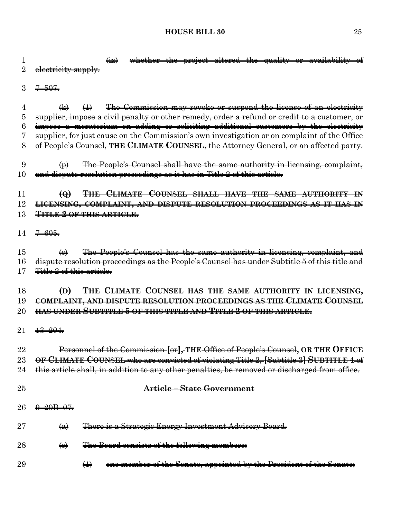| 1              |                                     | whether the project altered the quality or availability of<br>$\left(\frac{1}{11}\right)$     |
|----------------|-------------------------------------|-----------------------------------------------------------------------------------------------|
| $\overline{2}$ | electricity supply.                 |                                                                                               |
|                | $7 - 507.$                          |                                                                                               |
| 3              |                                     |                                                                                               |
| 4              | $\bigoplus$                         | The Commission may revoke or suspend the license of an electricity<br>$\leftrightarrow$       |
| 5              |                                     | supplier, impose a civil penalty or other remedy, order a refund or credit to a customer, or  |
| 6              |                                     | impose a moratorium on adding or soliciting additional customers by the electricity           |
| 7              |                                     | supplier, for just cause on the Commission's own investigation or on complaint of the Office  |
| 8              |                                     | of People's Counsel, THE CLIMATE COUNSEL, the Attorney General, or an affected party.         |
| 9              | $\Theta$                            | The People's Counsel shall have the same authority in licensing, complaint,                   |
| 10             |                                     | and dispute resolution proceedings as it has in Title 2 of this article.                      |
| 11             | $\Theta$                            | THE CLIMATE COUNSEL SHALL HAVE THE SAME AUTHORITY IN                                          |
| 12             |                                     | <b>LICENSING, COMPLAINT, AND DISPUTE RESOLUTION PROCEEDINGS AS IT HAS IN</b>                  |
| 13             |                                     | <b>TITLE 2 OF THIS ARTICLE.</b>                                                               |
|                |                                     |                                                                                               |
|                | $14 \frac{7}{605}$                  |                                                                                               |
| 15             | $\Theta$                            | The People's Counsel has the same authority in licensing, complaint, and                      |
| 16             |                                     | dispute resolution proceedings as the People's Counsel has under Subtitle 5 of this title and |
| 17             | <del>Title 2 of this article.</del> |                                                                                               |
| 18             | $\bigoplus$                         | THE CLIMATE COUNSEL HAS THE SAME AUTHORITY IN LICENSING,                                      |
| 19             |                                     | COMPLAINT, AND DISPUTE RESOLUTION PROCEEDINGS AS THE CLIMATE COUNSEL                          |
| 20             |                                     | <u>HAS UNDER SUBTITLE 5 OF THIS TITLE AND TITLE 2 OF THIS ARTICLE.</u>                        |
|                |                                     |                                                                                               |
| 21             | $\frac{13}{204}$                    |                                                                                               |
| 22             |                                     | Personnel of the Commission [or], THE Office of People's Counsel, OR THE OFFICE               |
| 23             |                                     | OF CLIMATE COUNSEL who are convicted of violating Title 2, [Subtitle 3] SUBTITLE 4 of         |
| 24             |                                     | this article shall, in addition to any other penalties, be removed or discharged from office. |
| 25             |                                     | Article - State Government                                                                    |
| 26             | $9 - 20B - 07$                      |                                                                                               |
| 27             | $\left( a\right)$                   | There is a Strategic Energy Investment Advisory Board.                                        |
| $^{28}$        | $\leftrightarrow$                   | The Board consists of the following members:                                                  |
| 29             |                                     | one member of the Senate, appointed by the President of the Senate;<br>$\leftrightarrow$      |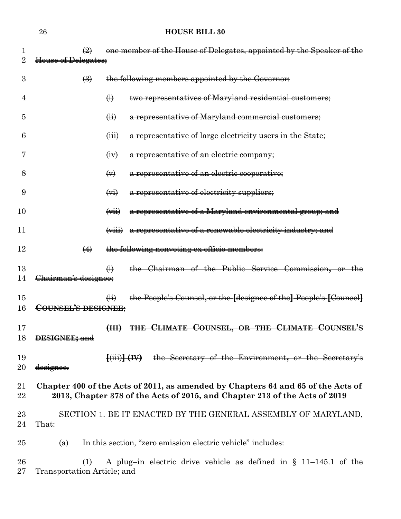| 1<br>2   | $\bigoplus$<br>House of Delegates; |                                    | one member of the House of Delegates, appointed by the Speaker of the                                                                                          |
|----------|------------------------------------|------------------------------------|----------------------------------------------------------------------------------------------------------------------------------------------------------------|
| 3        | $\left(\frac{1}{2}\right)$         |                                    | the following members appointed by the Governor:                                                                                                               |
| 4        |                                    | $\ddot{\Theta}$                    | two representatives of Maryland residential customers;                                                                                                         |
| 5        |                                    | $\overleftrightarrow{H}$           | a representative of Maryland commercial customers;                                                                                                             |
| 6        |                                    | $\overline{(\mathbf{iii})}$        | a representative of large electricity users in the State;                                                                                                      |
| 7        |                                    | $\left(\frac{1}{2}$                | a representative of an electric company;                                                                                                                       |
| 8        |                                    | $\leftrightarrow$                  | a representative of an electric cooperative;                                                                                                                   |
| 9        |                                    | $\overrightarrow{(*)}$             | a representative of electricity suppliers;                                                                                                                     |
| 10       |                                    | $\overleftrightarrow{$             | a representative of a Maryland environmental group; and                                                                                                        |
| 11       |                                    |                                    | (viii) a representative of a renewable electricity industry; and                                                                                               |
| 12       | $\leftrightarrow$                  |                                    | the following nonvoting ex officio members:                                                                                                                    |
| 13<br>14 | Chairman's designee;               | $\bigoplus$                        | the Chairman of the Public Service Commission, or the                                                                                                          |
| 15<br>16 | COUNSEL'S DESIGNEE;                | $\overline{a}$                     | the People's Counsel, or the [designee of the] People's [Counsel]                                                                                              |
| 17<br>18 | <b>DESIGNEE</b> ; and              | H <sub>H</sub>                     | THE CLIMATE COUNSEL, OR THE CLIMATE COUNSEL'S                                                                                                                  |
| 19<br>20 | <del>designee.</del>               | $\ket{\leftrightarrow}(\text{iv})$ | the Secretary of the Environment, or the Secretary's                                                                                                           |
| 21<br>22 |                                    |                                    | Chapter 400 of the Acts of 2011, as amended by Chapters 64 and 65 of the Acts of<br>2013, Chapter 378 of the Acts of 2015, and Chapter 213 of the Acts of 2019 |
| 23<br>24 | That:                              |                                    | SECTION 1. BE IT ENACTED BY THE GENERAL ASSEMBLY OF MARYLAND,                                                                                                  |
| 25       | (a)                                |                                    | In this section, "zero emission electric vehicle" includes:                                                                                                    |
|          |                                    |                                    |                                                                                                                                                                |

 (1) A plug–in electric drive vehicle as defined in § 11–145.1 of the Transportation Article; and

### **HOUSE BILL 30**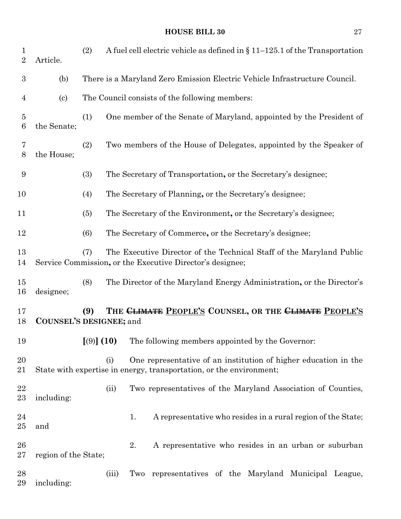| 1<br>$\overline{2}$ | Article.                  | (2) |       |    | A fuel cell electric vehicle as defined in $\S 11-125.1$ of the Transportation                                                         |  |  |  |
|---------------------|---------------------------|-----|-------|----|----------------------------------------------------------------------------------------------------------------------------------------|--|--|--|
| $\boldsymbol{3}$    | (b)                       |     |       |    | There is a Maryland Zero Emission Electric Vehicle Infrastructure Council.                                                             |  |  |  |
| 4                   | $\left( \text{c} \right)$ |     |       |    | The Council consists of the following members:                                                                                         |  |  |  |
| 5<br>6              | the Senate;               | (1) |       |    | One member of the Senate of Maryland, appointed by the President of                                                                    |  |  |  |
| 7<br>8              | the House;                | (2) |       |    | Two members of the House of Delegates, appointed by the Speaker of                                                                     |  |  |  |
| 9                   |                           | (3) |       |    | The Secretary of Transportation, or the Secretary's designee;                                                                          |  |  |  |
| 10                  |                           | (4) |       |    | The Secretary of Planning, or the Secretary's designee;                                                                                |  |  |  |
| 11                  |                           | (5) |       |    | The Secretary of the Environment, or the Secretary's designee;                                                                         |  |  |  |
| 12                  |                           | (6) |       |    | The Secretary of Commerce, or the Secretary's designee;                                                                                |  |  |  |
| 13<br>14            |                           | (7) |       |    | The Executive Director of the Technical Staff of the Maryland Public<br>Service Commission, or the Executive Director's designee;      |  |  |  |
| 15<br>16            | designee;                 | (8) |       |    | The Director of the Maryland Energy Administration, or the Director's                                                                  |  |  |  |
| 17<br>18            | COUNSEL'S DESIGNEE; and   | (9) |       |    | THE CLIMATE PEOPLE'S COUNSEL, OR THE CLIMATE PEOPLE'S                                                                                  |  |  |  |
| 19                  |                           |     |       |    | [(9)] (10) The following members appointed by the Governor:                                                                            |  |  |  |
| 20<br>21            |                           |     | (i)   |    | One representative of an institution of higher education in the<br>State with expertise in energy, transportation, or the environment; |  |  |  |
| 22<br>23            | including:                |     | (ii)  |    | Two representatives of the Maryland Association of Counties,                                                                           |  |  |  |
| 24<br>25            | and                       |     |       | 1. | A representative who resides in a rural region of the State;                                                                           |  |  |  |
| 26<br>$27\,$        | region of the State;      |     |       | 2. | A representative who resides in an urban or suburban                                                                                   |  |  |  |
| 28<br>29            | including:                |     | (iii) |    | Two representatives of the Maryland Municipal League,                                                                                  |  |  |  |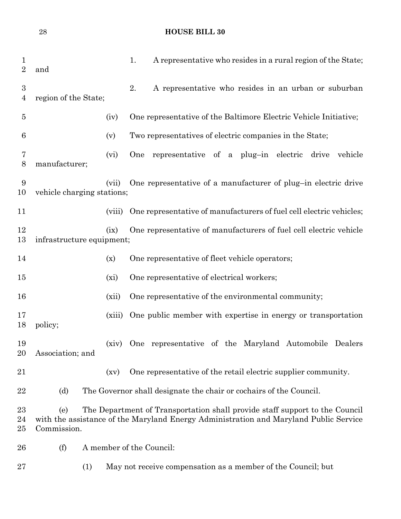```
28 HOUSE BILL 30
```

| $\mathbf 1$<br>$\overline{2}$ | and                        |         | 1.  | A representative who resides in a rural region of the State;                                                                                                         |
|-------------------------------|----------------------------|---------|-----|----------------------------------------------------------------------------------------------------------------------------------------------------------------------|
| 3<br>$\overline{4}$           | region of the State;       |         | 2.  | A representative who resides in an urban or suburban                                                                                                                 |
| $\overline{5}$                |                            | (iv)    |     | One representative of the Baltimore Electric Vehicle Initiative;                                                                                                     |
| $\boldsymbol{6}$              |                            | (v)     |     | Two representatives of electric companies in the State;                                                                                                              |
| 7<br>8                        | manufacturer;              | (vi)    | One | representative of a plug-in electric<br>drive<br>vehicle                                                                                                             |
| 9<br>10                       | vehicle charging stations; | (vii)   |     | One representative of a manufacturer of plug-in electric drive                                                                                                       |
| 11                            |                            | (viii)  |     | One representative of manufacturers of fuel cell electric vehicles;                                                                                                  |
| 12<br>13                      | infrastructure equipment;  | (ix)    |     | One representative of manufacturers of fuel cell electric vehicle                                                                                                    |
| 14                            |                            | (x)     |     | One representative of fleet vehicle operators;                                                                                                                       |
| 15                            |                            | $(x_i)$ |     | One representative of electrical workers;                                                                                                                            |
| 16                            |                            | (xii)   |     | One representative of the environmental community;                                                                                                                   |
| 17<br>18                      | policy;                    | (xiii)  |     | One public member with expertise in energy or transportation                                                                                                         |
| 19<br>20                      | Association; and           |         |     | (xiv) One representative of the Maryland Automobile Dealers                                                                                                          |
| 21                            |                            | (xv)    |     | One representative of the retail electric supplier community.                                                                                                        |
| 22                            | (d)                        |         |     | The Governor shall designate the chair or cochairs of the Council.                                                                                                   |
| 23<br>24<br>25                | (e)<br>Commission.         |         |     | The Department of Transportation shall provide staff support to the Council<br>with the assistance of the Maryland Energy Administration and Maryland Public Service |
| 26                            | (f)                        |         |     | A member of the Council:                                                                                                                                             |
| 27                            | (1)                        |         |     | May not receive compensation as a member of the Council; but                                                                                                         |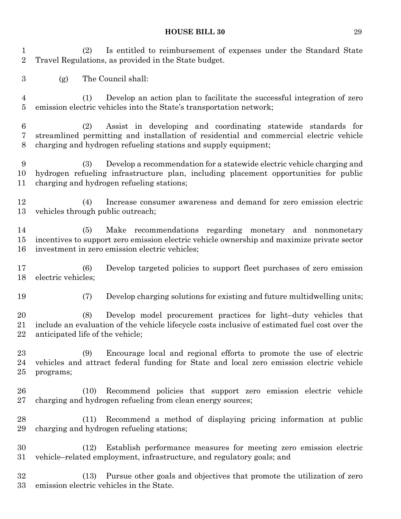(2) Is entitled to reimbursement of expenses under the Standard State Travel Regulations, as provided in the State budget.

(g) The Council shall:

 (1) Develop an action plan to facilitate the successful integration of zero emission electric vehicles into the State's transportation network;

 (2) Assist in developing and coordinating statewide standards for streamlined permitting and installation of residential and commercial electric vehicle charging and hydrogen refueling stations and supply equipment;

 (3) Develop a recommendation for a statewide electric vehicle charging and hydrogen refueling infrastructure plan, including placement opportunities for public charging and hydrogen refueling stations;

 (4) Increase consumer awareness and demand for zero emission electric vehicles through public outreach;

 (5) Make recommendations regarding monetary and nonmonetary incentives to support zero emission electric vehicle ownership and maximize private sector investment in zero emission electric vehicles;

 (6) Develop targeted policies to support fleet purchases of zero emission electric vehicles;

(7) Develop charging solutions for existing and future multidwelling units;

 (8) Develop model procurement practices for light–duty vehicles that include an evaluation of the vehicle lifecycle costs inclusive of estimated fuel cost over the anticipated life of the vehicle;

 (9) Encourage local and regional efforts to promote the use of electric vehicles and attract federal funding for State and local zero emission electric vehicle programs;

 (10) Recommend policies that support zero emission electric vehicle charging and hydrogen refueling from clean energy sources;

 (11) Recommend a method of displaying pricing information at public charging and hydrogen refueling stations;

 (12) Establish performance measures for meeting zero emission electric vehicle–related employment, infrastructure, and regulatory goals; and

 (13) Pursue other goals and objectives that promote the utilization of zero emission electric vehicles in the State.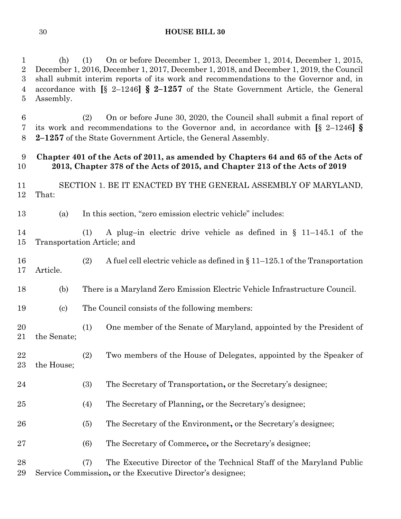(h) (1) On or before December 1, 2013, December 1, 2014, December 1, 2015, December 1, 2016, December 1, 2017, December 1, 2018, and December 1, 2019, the Council shall submit interim reports of its work and recommendations to the Governor and, in accordance with **[**§ 2–1246**] § 2–1257** of the State Government Article, the General Assembly.

 (2) On or before June 30, 2020, the Council shall submit a final report of its work and recommendations to the Governor and, in accordance with **[**§ 2–1246**] § 2–1257** of the State Government Article, the General Assembly.

### **Chapter 401 of the Acts of 2011, as amended by Chapters 64 and 65 of the Acts of 2013, Chapter 378 of the Acts of 2015, and Chapter 213 of the Acts of 2019**

 SECTION 1. BE IT ENACTED BY THE GENERAL ASSEMBLY OF MARYLAND, That:

(a) In this section, "zero emission electric vehicle" includes:

 (1) A plug–in electric drive vehicle as defined in § 11–145.1 of the Transportation Article; and

 (2) A fuel cell electric vehicle as defined in § 11–125.1 of the Transportation Article.

(b) There is a Maryland Zero Emission Electric Vehicle Infrastructure Council.

(c) The Council consists of the following members:

- (1) One member of the Senate of Maryland, appointed by the President of the Senate;
- (2) Two members of the House of Delegates, appointed by the Speaker of the House;
- (3) The Secretary of Transportation**,** or the Secretary's designee;
- (4) The Secretary of Planning**,** or the Secretary's designee;
- (5) The Secretary of the Environment**,** or the Secretary's designee;
- (6) The Secretary of Commerce**,** or the Secretary's designee;

 (7) The Executive Director of the Technical Staff of the Maryland Public Service Commission**,** or the Executive Director's designee;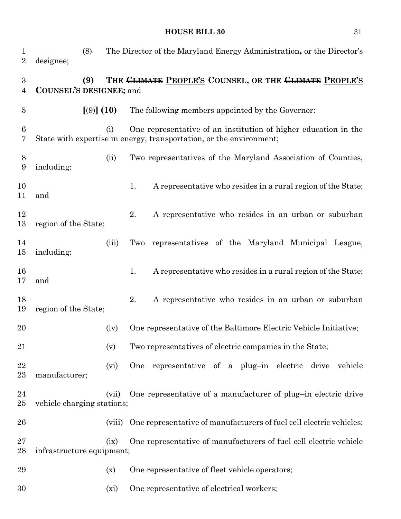| $\mathbf 1$<br>$\overline{2}$ | designee;                  | (8)          | The Director of the Maryland Energy Administration, or the Director's                                                                  |
|-------------------------------|----------------------------|--------------|----------------------------------------------------------------------------------------------------------------------------------------|
| $\boldsymbol{3}$<br>4         | COUNSEL'S DESIGNEE; and    | (9)          | THE CLIMATE PEOPLE'S COUNSEL, OR THE CLIMATE PEOPLE'S                                                                                  |
| $\overline{5}$                |                            | [ (9) ] (10) | The following members appointed by the Governor:                                                                                       |
| 6<br>7                        |                            | (i)          | One representative of an institution of higher education in the<br>State with expertise in energy, transportation, or the environment; |
| 8<br>9                        | including:                 | (ii)         | Two representatives of the Maryland Association of Counties,                                                                           |
| 10<br>11                      | and                        |              | A representative who resides in a rural region of the State;<br>1.                                                                     |
| 12<br>13                      | region of the State;       |              | 2.<br>A representative who resides in an urban or suburban                                                                             |
| 14<br>15                      | including:                 | (iii)        | Two representatives of the Maryland Municipal League,                                                                                  |
| 16<br>17                      | and                        |              | 1.<br>A representative who resides in a rural region of the State;                                                                     |
| 18<br>19                      | region of the State;       |              | 2.<br>A representative who resides in an urban or suburban                                                                             |
| 20                            |                            | (iv)         | One representative of the Baltimore Electric Vehicle Initiative;                                                                       |
| 21                            |                            | (v)          | Two representatives of electric companies in the State;                                                                                |
| 22<br>$23\,$                  | manufacturer;              | (vi)         | One representative of a plug-in electric drive<br>vehicle                                                                              |
| 24<br>$25\,$                  | vehicle charging stations; | (vii)        | One representative of a manufacturer of plug-in electric drive                                                                         |
| 26                            |                            | (viii)       | One representative of manufacturers of fuel cell electric vehicles;                                                                    |
| $27\,$<br>28                  | infrastructure equipment;  | (ix)         | One representative of manufacturers of fuel cell electric vehicle                                                                      |
| 29                            |                            | (x)          | One representative of fleet vehicle operators;                                                                                         |
| 30                            |                            | (xi)         | One representative of electrical workers;                                                                                              |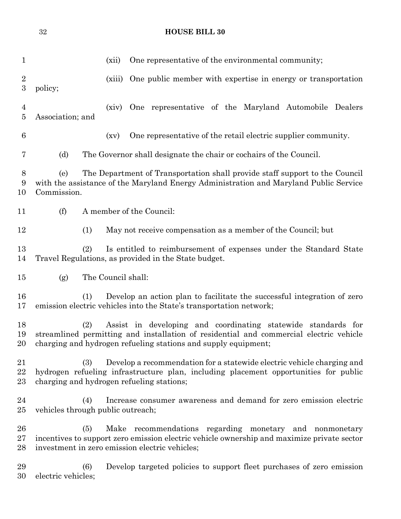| <b>HOUSE BILL 30</b> |
|----------------------|
|                      |

| $\mathbf 1$                          |                                                                                                                                                                 | (xii)              |                          |  |  | One representative of the environmental community;                          |  |
|--------------------------------------|-----------------------------------------------------------------------------------------------------------------------------------------------------------------|--------------------|--------------------------|--|--|-----------------------------------------------------------------------------|--|
| $\boldsymbol{2}$<br>$\boldsymbol{3}$ | policy;                                                                                                                                                         | (xiii)             |                          |  |  | One public member with expertise in energy or transportation                |  |
| $\overline{4}$<br>$\bf 5$            | Association; and                                                                                                                                                | (xiv)              |                          |  |  | One representative of the Maryland Automobile Dealers                       |  |
| 6                                    |                                                                                                                                                                 | (xv)               |                          |  |  | One representative of the retail electric supplier community.               |  |
| 7                                    | (d)                                                                                                                                                             |                    |                          |  |  | The Governor shall designate the chair or cochairs of the Council.          |  |
| 8<br>9<br>10                         | (e)<br>with the assistance of the Maryland Energy Administration and Maryland Public Service<br>Commission.                                                     |                    |                          |  |  | The Department of Transportation shall provide staff support to the Council |  |
| 11                                   | (f)                                                                                                                                                             |                    | A member of the Council: |  |  |                                                                             |  |
| 12                                   | (1)                                                                                                                                                             |                    |                          |  |  | May not receive compensation as a member of the Council; but                |  |
| 13<br>14                             | (2)<br>Travel Regulations, as provided in the State budget.                                                                                                     |                    |                          |  |  | Is entitled to reimbursement of expenses under the Standard State           |  |
|                                      |                                                                                                                                                                 |                    |                          |  |  |                                                                             |  |
| $15\,$                               | (g)                                                                                                                                                             | The Council shall: |                          |  |  |                                                                             |  |
| 16<br>17                             | (1)<br>emission electric vehicles into the State's transportation network;                                                                                      |                    |                          |  |  | Develop an action plan to facilitate the successful integration of zero     |  |
| 18<br>19<br>20                       | (2)<br>streamlined permitting and installation of residential and commercial electric vehicle<br>charging and hydrogen refueling stations and supply equipment; |                    |                          |  |  | Assist in developing and coordinating statewide standards for               |  |
| 21<br>22<br>$23\,$                   | (3)<br>hydrogen refueling infrastructure plan, including placement opportunities for public<br>charging and hydrogen refueling stations;                        |                    |                          |  |  | Develop a recommendation for a statewide electric vehicle charging and      |  |
| 24<br>$25\,$                         | (4)<br>vehicles through public outreach;                                                                                                                        |                    |                          |  |  | Increase consumer awareness and demand for zero emission electric           |  |
| 26<br>$27\,$<br>28                   | (5)<br>incentives to support zero emission electric vehicle ownership and maximize private sector<br>investment in zero emission electric vehicles;             | Make               |                          |  |  | recommendations regarding monetary and nonmonetary                          |  |